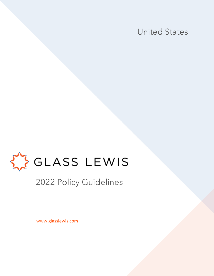United States



2022 Policy Guidelines

www.glasslewis.com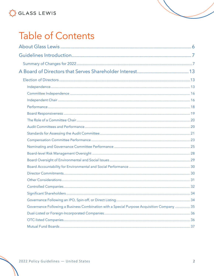# **Table of Contents**

| Governance Following a Business Combination with a Special Purpose Acquisition Company  35 |  |
|--------------------------------------------------------------------------------------------|--|
|                                                                                            |  |
|                                                                                            |  |
|                                                                                            |  |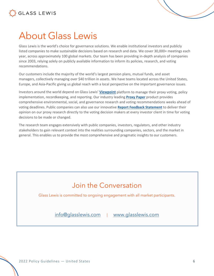



# About Glass Lewis

Glass Lewis is the world's choice for governance solutions. We enable institutional investors and publicly listed companies to make sustainable decisions based on research and data. We cover 30,000+ meetings each year, across approximately 100 global markets. Our team has been providing in-depth analysis of companies since 2003, relying solely on publicly available information to inform its policies, research, and voting recommendations.

Our customers include the majority of the world's largest pension plans, mutual funds, and asset managers, collectively managing over \$40 trillion in assets. We have teams located across the United States, Europe, and Asia-Pacific giving us global reach with a local perspective on the important governance issues.

Investors around the world depend on Glass Lewis' **Viewpoint** platform to manage their proxy voting, policy implementation, recordkeeping, and reporting. Our industry leading **Proxy Paper** product provides comprehensive environmental, social, and governance research and voting recommendations weeks ahead of voting deadlines. Public companies can also use our innovative **Report Feedback Statement** to deliver their opinion on our proxy research directly to the voting decision makers at every investor client in time for voting decisions to be made or changed.

The research team engages extensively with public companies, investors, regulators, and other industry stakeholders to gain relevant context into the realities surrounding companies, sectors, and the market in general. This enables us to provide the most comprehensive and pragmatic insights to our customers.

## Join the Conversation

Glass Lewis is committed to ongoing engagement with all market participants.

info@glasslewis.com | www.glasslewis.com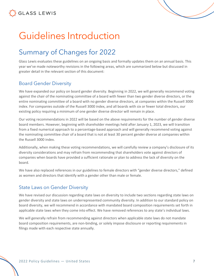# Guidelines Introduction

## Summary of Changes for 2022

Glass Lewis evaluates these guidelines on an ongoing basis and formally updates them on an annual basis. This year we've made noteworthy revisions in the following areas, which are summarized below but discussed in greater detail in the relevant section of this document:

## Board Gender Diversity

We have expanded our policy on board gender diversity. Beginning in 2022, we will generally recommend voting against the chair of the nominating committee of a board with fewer than two gender diverse directors, or the entire nominating committee of a board with no gender diverse directors, at companies within the Russell 3000 index. For companies outside of the Russell 3000 index, and all boards with six or fewer total directors, our existing policy requiring a minimum of one gender diverse director will remain in place.

Our voting recommendations in 2022 will be based on the above requirements for the number of gender diverse board members. However, beginning with shareholder meetings held after January 1, 2023, we will transition from a fixed numerical approach to a percentage-based approach and will generally recommend voting against the nominating committee chair of a board that is not at least 30 percent gender diverse at companies within the Russell 3000 index.

Additionally, when making these voting recommendations, we will carefully review a company's disclosure of its diversity considerations and may refrain from recommending that shareholders vote against directors of companies when boards have provided a sufficient rationale or plan to address the lack of diversity on the board.

We have also replaced references in our guidelines to female directors with "gender diverse directors," defined as women and directors that identify with a gender other than male or female.

## State Laws on Gender Diversity

We have revised our discussion regarding state laws on diversity to include two sections regarding state laws on gender diversity and state laws on underrepresented community diversity. In addition to our standard policy on board diversity, we will recommend in accordance with mandated board composition requirements set forth in applicable state laws when they come into effect. We have removed references to any state's individual laws.

We will generally refrain from recommending against directors when applicable state laws do not mandate board composition requirements, are non-binding, or solely impose disclosure or reporting requirements in filings made with each respective state annually.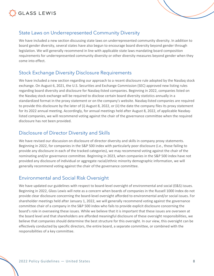



We have included a new section discussing state laws on underrepresented community diversity. In addition to board gender diversity, several states have also begun to encourage board diversity beyond gender through legislation. We will generally recommend in line with applicable state laws mandating board composition requirements for underrepresented community diversity or other diversity measures beyond gender when they come into effect.

### Stock Exchange Diversity Disclosure Requirements

We have included a new section regarding our approach to a recent disclosure rule adopted by the Nasdaq stock exchange. On August 6, 2021, the U.S. Securities and Exchange Commission (SEC) approved new listing rules regarding board diversity and disclosure for Nasdaq-listed companies. Beginning in 2022, companies listed on the Nasdaq stock exchange will be required to disclose certain board diversity statistics annually in a standardized format in the proxy statement or on the company's website. Nasdaq-listed companies are required to provide this disclosure by the later of (i) August 8, 2022, or (ii) the date the company files its proxy statement for its 2022 annual meeting. Accordingly, for annual meetings held after August 8, 2022, of applicable Nasdaqlisted companies, we will recommend voting against the chair of the governance committee when the required disclosure has not been provided.

### Disclosure of Director Diversity and Skills

We have revised our discussion on disclosure of director diversity and skills in company proxy statements. Beginning in 2022, for companies in the S&P 500 index with particularly poor disclosure (i.e., those failing to provide any disclosure in each of the tracked categories), we may recommend voting against the chair of the nominating and/or governance committee. Beginning in 2023, when companies in the S&P 500 index have not provided any disclosure of individual or aggregate racial/ethnic minority demographic information, we will generally recommend voting against the chair of the governance committee.

## Environmental and Social Risk Oversight

We have updated our guidelines with respect to board-level oversight of environmental and social (E&S) issues. Beginning in 2022, Glass Lewis will note as a concern when boards of companies in the Russell 1000 index do not provide clear disclosure concerning the board-level oversight afforded to environmental and/or social issues. For shareholder meetings held after January 1, 2022, we will generally recommend voting against the governance committee chair of a company in the S&P 500 index who fails to provide explicit disclosure concerning the board's role in overseeing these issues. While we believe that it is important that these issues are overseen at the board level and that shareholders are afforded meaningful disclosure of these oversight responsibilities, we believe that companies should determine the best structure for this oversight. In our view, this oversight can be effectively conducted by specific directors, the entire board, a separate committee, or combined with the responsibilities of a key committee.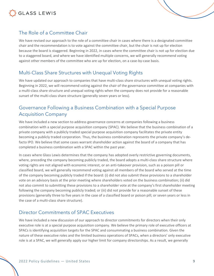

## The Role of a Committee Chair

We have revised our approach to the role of a committee chair in cases where there is a designated committee chair and the recommendation is to vote against the committee chair, but the chair is not up for election because the board is staggered. Beginning in 2022, in cases where the committee chair is not up for election due to a staggered board, and where we have identified multiple concerns, we will generally recommend voting against other members of the committee who are up for election, on a case-by-case basis.

## Multi-Class Share Structures with Unequal Voting Rights

We have updated our approach to companies that have multi-class share structures with unequal voting rights. Beginning in 2022, we will recommend voting against the chair of the governance committee at companies with a multi-class share structure and unequal voting rights when the company does not provide for a reasonable sunset of the multi-class share structure (generally seven years or less).

## Governance Following a Business Combination with a Special Purpose Acquisition Company

We have included a new section to address governance concerns at companies following a business combination with a special purpose acquisition company (SPAC). We believe that the business combination of a private company with a publicly traded special purpose acquisition company facilitates the private entity becoming a publicly traded corporation. Thus, the business combination represents the private company's defacto IPO. We believe that some cases warrant shareholder action against the board of a company that has completed a business combination with a SPAC within the past year.

In cases where Glass Lewis determines that the company has adopted overly restrictive governing documents, where, preceding the company becoming publicly traded, the board adopts a multi-class share structure where voting rights are not aligned with economic interest, or an anti-takeover provision, such as a poison pill or classified board, we will generally recommend voting against all members of the board who served at the time of the company becoming publicly traded if the board: (i) did not also submit these provisions to a shareholder vote on an advisory basis at the prior meeting where shareholders voted on the business combination; (ii) did not also commit to submitting these provisions to a shareholder vote at the company's first shareholder meeting following the company becoming publicly traded; or (iii) did not provide for a reasonable sunset of these provisions (generally three to five years in the case of a classified board or poison pill; or seven years or less in the case of a multi-class share structure).

## Director Commitments of SPAC Executives

We have included a new discussion of our approach to director commitments for directors when their only executive role is at a special purpose acquisition company. We believe the primary role of executive officers at SPACs is identifying acquisition targets for the SPAC and consummating a business combination. Given the nature of these executive roles and the limited business operations of SPACs, when a directors' only executive role is at a SPAC, we will generally apply our higher limit for company directorships. As a result, we generally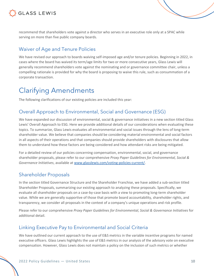

recommend that shareholders vote against a director who serves in an executive role only at a SPAC while serving on more than five public company boards.

## Waiver of Age and Tenure Policies

We have revised our approach to boards waiving self-imposed age and/or tenure policies. Beginning in 2022, in cases where the board has waived its term/age limits for two or more consecutive years, Glass Lewis will generally recommend shareholders vote against the nominating and or governance committee chair, unless a compelling rationale is provided for why the board is proposing to waive this rule, such as consummation of a corporate transaction.

## Clarifying Amendments

The following clarifications of our existing policies are included this year:

## Overall Approach to Environmental, Social and Governance (ESG)

We have expanded our discussion of environmental, social & governance initiatives in a new section titled Glass Lewis' Overall Approach to ESG. Here we provide additional details of our considerations when evaluating these topics. To summarize, Glass Lewis evaluates all environmental and social issues through the lens of long-term shareholder value. We believe that companies should be considering material environmental and social factors in all aspects of their operations and that companies should provide shareholders with disclosures that allow them to understand how these factors are being considered and how attendant risks are being mitigated.

For a detailed review of our policies concerning compensation, environmental, social, and governance shareholder proposals, please refer to our comprehensive *Proxy Paper Guidelines for Environmental, Social & Governance Initiatives*, available at www.glasslewis.com/voting-policies-current/.

## Shareholder Proposals

In the section titled Governance Structure and the Shareholder Franchise, we have added a sub-section titled Shareholder Proposals, summarizing our existing approach to analyzing these proposals. Specifically, we evaluate all shareholder proposals on a case-by-case basis with a view to promoting long-term shareholder value. While we are generally supportive of those that promote board accountability, shareholder rights, and transparency, we consider all proposals in the context of a company's unique operations and risk profile.

Please refer to our comprehensive *Proxy Paper Guidelines for Environmental, Social & Governance Initiatives* for additional detail.

## Linking Executive Pay to Environmental and Social Criteria

We have outlined our current approach to the use of E&S metrics in the variable incentive programs for named executive officers. Glass Lewis highlights the use of E&S metrics in our analysis of the advisory vote on executive compensation. However, Glass Lewis does not maintain a policy on the inclusion of such metrics or whether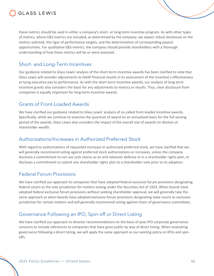

these metrics should be used in either a company's short- or long-term incentive program. As with other types of metrics, where E&S metrics are included, as determined by the company, we expect robust disclosure on the metrics selected, the rigor of performance targets, and the determination of corresponding payout opportunities. For qualitative E&S metrics, the company should provide shareholders with a thorough understanding of how these metrics will be or were assessed.

### Short- and Long-Term Incentives

Our guidance related to Glass Lewis' analysis of the short-term incentive awards has been clarified to note that Glass Lewis will consider adjustments to GAAP financial results in its assessment of the incentive's effectiveness at tying executive pay to performance. As with the short-term incentive awards, our analysis of long-term incentive grants also considers the basis for any adjustments to metrics or results. Thus, clear disclosure from companies is equally important for long-term incentive awards.

### Grants of Front-Loaded Awards

We have clarified our guidance related to Glass Lewis' analysis of so-called front-loaded incentive awards. Specifically, while we continue to examine the quantum of award on an annualized basis for the full vesting period of the awards, Glass Lewis also considers the impact of the overall size of awards on dilution of shareholder wealth.

#### Authorizations/Increases in Authorized Preferred Stock

With regard to authorizations of requested increases in authorized preferred stock, we have clarified that we will generally recommend voting against preferred stock authorizations or increases, unless the company discloses a commitment to not use such shares as an anti-takeover defense or in a shareholder rights plan, or discloses a commitment to submit any shareholder rights plan to a shareholder vote prior to its adoption.

### Federal Forum Provisions

We have clarified our approach to companies that have adopted federal exclusive forum provisions designating federal courts as the sole jurisdiction for matters arising under the Securities Act of 1933. When boards have adopted federal exclusive forum provisions without seeking shareholder approval, we will generally take the same approach as when boards have adopted exclusive forum provisions designating state courts as exclusive jurisdiction for certain matters and will generally recommend voting against chairs of governance committees.

## Governance Following an IPO, Spin-off or Direct Listing

We have clarified our approach to director recommendations on the basis of post-IPO corporate governance concerns to include references to companies that have gone public by way of direct listing. When evaluating governance following a direct listing, we will apply the same approach as our existing policy on IPOs and spinoffs.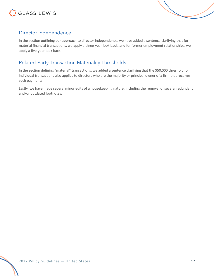



## Director Independence

In the section outlining our approach to director independence, we have added a sentence clarifying that for material financial transactions, we apply a three-year look back, and for former employment relationships, we apply a five-year look back.

## Related-Party Transaction Materiality Thresholds

In the section defining "material" transactions, we added a sentence clarifying that the \$50,000 threshold for individual transactions also applies to directors who are the majority or principal owner of a firm that receives such payments.

Lastly, we have made several minor edits of a housekeeping nature, including the removal of several redundant and/or outdated footnotes.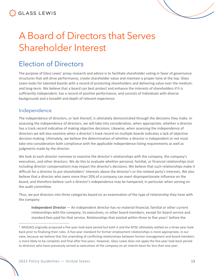# A Board of Directors that Serves Shareholder Interest

## Election of Directors

The purpose of Glass Lewis' proxy research and advice is to facilitate shareholder voting in favor of governance structures that will drive performance, create shareholder value and maintain a proper tone at the top. Glass Lewis looks for talented boards with a record of protecting shareholders and delivering value over the mediumand long-term. We believe that a board can best protect and enhance the interests of shareholders if it is sufficiently independent, has a record of positive performance, and consists of individuals with diverse backgrounds and a breadth and depth of relevant experience.

## Independence

The independence of directors, or lack thereof, is ultimately demonstrated through the decisions they make. In assessing the independence of directors, we will take into consideration, when appropriate, whether a director has a track record indicative of making objective decisions. Likewise, when assessing the independence of directors we will also examine when a director's track record on multiple boards indicates a lack of objective decision-making. Ultimately, we believe the determination of whether a director is independent or not must take into consideration both compliance with the applicable independence listing requirements as well as judgments made by the director.

We look at each director nominee to examine the director's relationships with the company, the company's executives, and other directors. We do this to evaluate whether personal, familial, or financial relationships (not including director compensation) may impact the director's decisions. We believe that such relationships make it difficult for a director to put shareholders' interests above the director's or the related party's interests. We also believe that a director who owns more than 20% of a company can exert disproportionate influence on the board, and therefore believe such a director's independence may be hampered, in particular when serving on the audit committee.

Thus, we put directors into three categories based on an examination of the type of relationship they have with the company:

**Independent Director** — An independent director has no material financial, familial or other current relationships with the company, its executives, or other board members, except for board service and standard fees paid for that service. Relationships that existed within three to five years<sup>1</sup> before the

 $1$  NASDAQ originally proposed a five-year look-back period but both it and the NYSE ultimately settled on a three-year lookback prior to finalizing their rules. A five-year standard for former employment relationships is more appropriate, in our view, because we believe that the unwinding of conflicting relationships between former management and board members is more likely to be complete and final after five years. However, Glass Lewis does not apply the five-year look-back period to directors who have previously served as executives of the company on an interim basis for less than one year.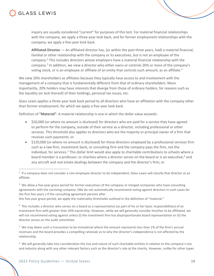

inquiry are usually considered "current" for purposes of this test. For material financial relationships with the company, we apply a three-year look back, and for former employment relationships with the company, we apply a five-year look back.

**Affiliated Director** — An affiliated director has, (or within the past three years, had) a material financial, familial or other relationship with the company or its executives, but is not an employee of the company.<sup>2</sup> This includes directors whose employers have a material financial relationship with the company.<sup>3</sup> In addition, we view a director who either owns or controls 20% or more of the company's voting stock, or is an employee or affiliate of an entity that controls such amount, as an affiliate.<sup>4</sup>

We view 20% shareholders as affiliates because they typically have access to and involvement with the management of a company that is fundamentally different from that of ordinary shareholders. More importantly, 20% holders may have interests that diverge from those of ordinary holders, for reasons such as the liquidity (or lack thereof) of their holdings, personal tax issues, etc.

Glass Lewis applies a three-year look back period to all directors who have an affiliation with the company other than former employment, for which we apply a five-year look back.

Definition of **"Material"**: A material relationship is one in which the dollar value exceeds:

- \$50,000 (or where no amount is disclosed) for directors who are paid for a service they have agreed to perform for the company, outside of their service as a director, including professional or other services. This threshold also applies to directors who are the majority or principal owner of a firm that receives such payments; or
- \$120,000 (or where no amount is disclosed) for those directors employed by a professional services firm such as a law firm, investment bank, or consulting firm and the company pays the firm, not the individual, for services.<sup>5</sup> This dollar limit would also apply to charitable contributions to schools where a board member is a professor; or charities where a director serves on the board or is an executive;<sup>6</sup> and any aircraft and real estate dealings between the company and the director's firm; or

<sup>3</sup> We allow a five-year grace period for former executives of the company or merged companies who have consulting agreements with the surviving company. (We do not automatically recommend voting against directors in such cases for the first five years.) If the consulting agreement persists after

this five-year grace period, we apply the materiality thresholds outlined in the definition of "material."

<sup>4</sup> This includes a director who serves on a board as a representative (as part of his or her basic responsibilities) of an investment firm with greater than 20% ownership. However, while we will generally consider him/her to be affiliated, we will not recommend voting against unless (i) the investment firm has disproportionate board representation or (ii) the director serves on the audit committee.

<sup>5</sup> We may deem such a transaction to be immaterial where the amount represents less than 1% of the firm's annual revenues and the board provides a compelling rationale as to why the director's independence is not affected by the relationship.

<sup>6</sup> We will generally take into consideration the size and nature of such charitable entities in relation to the company's size and industry along with any other relevant factors such as the director's role at the charity. However, unlike for other types

 $2$  If a company does not consider a non-employee director to be independent, Glass Lewis will classify that director as an affiliate.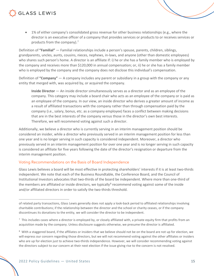• 1% of either company's consolidated gross revenue for other business relationships (e.g., where the director is an executive officer of a company that provides services or products to or receives services or products from the company).<sup>7</sup>

Definition of **"Familial"** — Familial relationships include a person's spouse, parents, children, siblings, grandparents, uncles, aunts, cousins, nieces, nephews, in-laws, and anyone (other than domestic employees) who shares such person's home. A director is an affiliate if: i) he or she has a family member who is employed by the company and receives more than \$120,000 in annual compensation; or, ii) he or she has a family member who is employed by the company and the company does not disclose this individual's compensation.

Definition of **"Company"** — A company includes any parent or subsidiary in a group with the company or any entity that merged with, was acquired by, or acquired the company.

**Inside Director** — An inside director simultaneously serves as a director and as an employee of the company. This category may include a board chair who acts as an employee of the company or is paid as an employee of the company. In our view, an inside director who derives a greater amount of income as a result of affiliated transactions with the company rather than through compensation paid by the company (i.e., salary, bonus, etc. as a company employee) faces a conflict between making decisions that are in the best interests of the company versus those in the director's own best interests. Therefore, we will recommend voting against such a director.

Additionally, we believe a director who is currently serving in an interim management position should be considered an insider, while a director who previously served in an interim management position for less than one year and is no longer serving in such capacity is considered independent. Moreover, a director who previously served in an interim management position for over one year and is no longer serving in such capacity is considered an affiliate for five years following the date of the director's resignation or departure from the interim management position.

#### Voting Recommendations on the Basis of Board Independence

Glass Lewis believes a board will be most effective in protecting shareholders' interests if it is at least two-thirds independent. We note that each of the Business Roundtable, the Conference Board, and the Council of Institutional Investors advocates that two-thirds of the board be independent. Where more than one-third of the members are affiliated or inside directors, we typically $^8$  recommend voting against some of the inside and/or affiliated directors in order to satisfy the two-thirds threshold.

of related party transactions, Glass Lewis generally does not apply a look-back period to affiliated relationships involving charitable contributions; if the relationship between the director and the school or charity ceases, or if the company discontinues its donations to the entity, we will consider the director to be independent.

 $^7$  This includes cases where a director is employed by, or closely affiliated with, a private equity firm that profits from an acquisition made by the company. Unless disclosure suggests otherwise, we presume the director is affiliated.

 $8\,$  With a staggered board, if the affiliates or insiders that we believe should not be on the board are not up for election, we will express our concern regarding those directors, but we will not recommend voting against the other affiliates or insiders who are up for election just to achieve two-thirds independence. However, we will consider recommending voting against the directors subject to our concern at their next election if the issue giving rise to the concern is not resolved.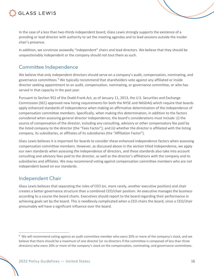

In the case of a less than two-thirds independent board, Glass Lewis strongly supports the existence of a presiding or lead director with authority to set the meeting agendas and to lead sessions outside the insider chair's presence.

In addition, we scrutinize avowedly "independent" chairs and lead directors. We believe that they should be unquestionably independent or the company should not tout them as such.

### Committee Independence

We believe that only independent directors should serve on a company's audit, compensation, nominating, and governance committees.9 We typically recommend that shareholders vote against any affiliated or inside director seeking appointment to an audit, compensation, nominating, or governance committee, or who has served in that capacity in the past year.

Pursuant to Section 952 of the Dodd-Frank Act, as of January 11, 2013, the U.S. Securities and Exchange Commission (SEC) approved new listing requirements for both the NYSE and NASDAQ which require that boards apply enhanced standards of independence when making an affirmative determination of the independence of compensation committee members. Specifically, when making this determination, in addition to the factors considered when assessing general director independence, the board's considerations must include: (i) the source of compensation of the director, including any consulting, advisory or other compensatory fee paid by the listed company to the director (the "Fees Factor"); and (ii) whether the director is affiliated with the listing company, its subsidiaries, or affiliates of its subsidiaries (the "Affiliation Factor").

Glass Lewis believes it is important for boards to consider these enhanced independence factors when assessing compensation committee members. However, as discussed above in the section titled Independence, we apply our own standards when assessing the independence of directors, and these standards also take into account consulting and advisory fees paid to the director, as well as the director's affiliations with the company and its subsidiaries and affiliates. We may recommend voting against compensation committee members who are not independent based on our standards.

## Independent Chair

Glass Lewis believes that separating the roles of CEO (or, more rarely, another executive position) and chair creates a better governance structure than a combined CEO/chair position. An executive manages the business according to a course the board charts. Executives should report to the board regarding their performance in achieving goals set by the board. This is needlessly complicated when a CEO chairs the board, since a CEO/chair presumably will have a significant influence over the board.

<sup>&</sup>lt;sup>9</sup> We will recommend voting against an audit committee member who owns 20% or more of the company's stock, and we believe that there should be a maximum of one director (or no directors if the committee is composed of less than three directors) who owns 20% or more of the company's stock on the compensation, nominating, and governance committees.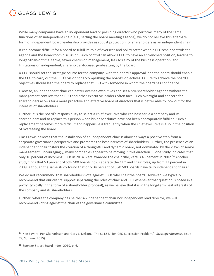

While many companies have an independent lead or presiding director who performs many of the same functions of an independent chair (e.g., setting the board meeting agenda), we do not believe this alternate form of independent board leadership provides as robust protection for shareholders as an independent chair.

It can become difficult for a board to fulfill its role of overseer and policy setter when a CEO/chair controls the agenda and the boardroom discussion. Such control can allow a CEO to have an entrenched position, leading to longer-than-optimal terms, fewer checks on management, less scrutiny of the business operation, and limitations on independent, shareholder-focused goal-setting by the board.

A CEO should set the strategic course for the company, with the board's approval, and the board should enable the CEO to carry out the CEO's vision for accomplishing the board's objectives. Failure to achieve the board's objectives should lead the board to replace that CEO with someone in whom the board has confidence.

Likewise, an independent chair can better oversee executives and set a pro-shareholder agenda without the management conflicts that a CEO and other executive insiders often face. Such oversight and concern for shareholders allows for a more proactive and effective board of directors that is better able to look out for the interests of shareholders.

Further, it is the board's responsibility to select a chief executive who can best serve a company and its shareholders and to replace this person when his or her duties have not been appropriately fulfilled. Such a replacement becomes more difficult and happens less frequently when the chief executive is also in the position of overseeing the board.

Glass Lewis believes that the installation of an independent chair is almost always a positive step from a corporate governance perspective and promotes the best interests of shareholders. Further, the presence of an independent chair fosters the creation of a thoughtful and dynamic board, not dominated by the views of senior management. Encouragingly, many companies appear to be moving in this direction — one study indicates that only 10 percent of incoming CEOs in 2014 were awarded the chair title, versus 48 percent in 2002.<sup>10</sup> Another study finds that 53 percent of S&P 500 boards now separate the CEO and chair roles, up from 37 percent in 2009, although the same study found that only 34 percent of S&P 500 boards have truly independent chairs.<sup>11</sup>

We do not recommend that shareholders vote against CEOs who chair the board. However, we typically recommend that our clients support separating the roles of chair and CEO whenever that question is posed in a proxy (typically in the form of a shareholder proposal), as we believe that it is in the long-term best interests of the company and its shareholders.

Further, where the company has neither an independent chair nor independent lead director, we will recommend voting against the chair of the governance committee.

<sup>10</sup> Ken Favaro, Per-Ola Karlsson and Gary L. Nelson. "The \$112 Billion CEO Succession Problem." (*Strategy+Business*, Issue 79, Summer 2015).

<sup>&</sup>lt;sup>11</sup> Spencer Stuart Board Index, 2019, p. 6.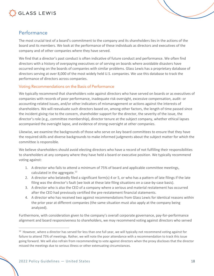

### Performance

The most crucial test of a board's commitment to the company and its shareholders lies in the actions of the board and its members. We look at the performance of these individuals as directors and executives of the company and of other companies where they have served.

We find that a director's past conduct is often indicative of future conduct and performance. We often find directors with a history of overpaying executives or of serving on boards where avoidable disasters have occurred serving on the boards of companies with similar problems. Glass Lewis has a proprietary database of directors serving at over 8,000 of the most widely held U.S. companies. We use this database to track the performance of directors across companies.

#### Voting Recommendations on the Basis of Performance

We typically recommend that shareholders vote against directors who have served on boards or as executives of companies with records of poor performance, inadequate risk oversight, excessive compensation, audit- or accounting-related issues, and/or other indicators of mismanagement or actions against the interests of shareholders. We will reevaluate such directors based on, among other factors, the length of time passed since the incident giving rise to the concern, shareholder support for the director, the severity of the issue, the director's role (e.g., committee membership), director tenure at the subject company, whether ethical lapses accompanied the oversight lapse, and evidence of strong oversight at other companies.

Likewise, we examine the backgrounds of those who serve on key board committees to ensure that they have the required skills and diverse backgrounds to make informed judgments about the subject matter for which the committee is responsible.

We believe shareholders should avoid electing directors who have a record of not fulfilling their responsibilities to shareholders at any company where they have held a board or executive position. We typically recommend voting against:

- 1. A director who fails to attend a minimum of 75% of board and applicable committee meetings, calculated in the aggregate.<sup>12</sup>
- 2. A director who belatedly filed a significant form(s) 4 or 5, or who has a pattern of late filings if the late filing was the director's fault (we look at these late filing situations on a case-by-case basis).
- 3. A director who is also the CEO of a company where a serious and material restatement has occurred after the CEO had previously certified the pre-restatement financial statements.
- 4. A director who has received two against recommendations from Glass Lewis for identical reasons within the prior year at different companies (the same situation must also apply at the company being analyzed).

Furthermore, with consideration given to the company's overall corporate governance, pay-for-performance alignment and board responsiveness to shareholders, we may recommend voting against directors who served

<sup>&</sup>lt;sup>12</sup> However, where a director has served for less than one full year, we will typically not recommend voting against for failure to attend 75% of meetings. Rather, we will note the poor attendance with a recommendation to track this issue going forward. We will also refrain from recommending to vote against directors when the proxy discloses that the director missed the meetings due to serious illness or other extenuating circumstances.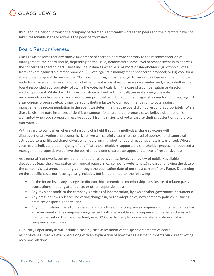

throughout a period in which the company performed significantly worse than peers and the directors have not taken reasonable steps to address the poor performance.

### Board Responsiveness

Glass Lewis believes that any time 20% or more of shareholders vote contrary to the recommendation of management, the board should, depending on the issue, demonstrate some level of responsiveness to address the concerns of shareholders. These include instances when 20% or more of shareholders: (i) withhold votes from (or vote against) a director nominee; (ii) vote against a management-sponsored proposal; or (iii) vote for a shareholder proposal. In our view, a 20% threshold is significant enough to warrant a close examination of the underlying issues and an evaluation of whether or not a board response was warranted and, if so, whether the board responded appropriately following the vote, particularly in the case of a compensation or director election proposal. While the 20% threshold alone will not automatically generate a negative vote recommendation from Glass Lewis on a future proposal (e.g., to recommend against a director nominee, against a say-on-pay proposal, etc.), it may be a contributing factor to our recommendation to vote against management's recommendation in the event we determine that the board did not respond appropriately. While Glass Lewis may note instances of significant support for shareholder proposals, we believe clear action is warranted when such proposals receive support from a majority of votes cast (excluding abstentions and broker non-votes).

With regard to companies where voting control is held through a multi-class share structure with disproportionate voting and economic rights, we will carefully examine the level of approval or disapproval attributed to unaffiliated shareholders when determining whether board responsiveness is warranted. Where vote results indicate that a majority of unaffiliated shareholders supported a shareholder proposal or opposed a management proposal, we believe the board should demonstrate an appropriate level of responsiveness.

As a general framework, our evaluation of board responsiveness involves a review of publicly available disclosures (e.g., the proxy statement, annual report, 8-Ks, company website, etc.) released following the date of the company's last annual meeting up through the publication date of our most current Proxy Paper. Depending on the specific issue, our focus typically includes, but is not limited to, the following:

- At the board level, any changes in directorships, committee memberships, disclosure of related party transactions, meeting attendance, or other responsibilities;
- Any revisions made to the company's articles of incorporation, bylaws or other governance documents;
- Any press or news releases indicating changes in, or the adoption of, new company policies, business practices or special reports; and
- Any modifications made to the design and structure of the company's compensation program, as well as an assessment of the company's engagement with shareholders on compensation issues as discussed in the Compensation Discussion & Analysis (CD&A), particularly following a material vote against a company's say-on-pay.

Our Proxy Paper analysis will include a case-by-case assessment of the specific elements of board responsiveness that we examined along with an explanation of how that assessment impacts our current voting recommendations.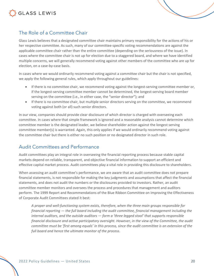



Glass Lewis believes that a designated committee chair maintains primary responsibility for the actions of his or her respective committee. As such, many of our committee-specific voting recommendations are against the applicable committee chair rather than the entire committee (depending on the seriousness of the issue). In cases where the committee chair is not up for election due to a staggered board, and where we have identified multiple concerns, we will generally recommend voting against other members of the committee who are up for election, on a case-by-case basis.

In cases where we would ordinarily recommend voting against a committee chair but the chair is not specified, we apply the following general rules, which apply throughout our guidelines:

- If there is no committee chair, we recommend voting against the longest-serving committee member or, if the longest-serving committee member cannot be determined, the longest-serving board member serving on the committee (i.e., in either case, the "senior director"); and
- If there is no committee chair, but multiple senior directors serving on the committee, we recommend voting against both (or all) such senior directors.

In our view, companies should provide clear disclosure of which director is charged with overseeing each committee. In cases where that simple framework is ignored and a reasonable analysis cannot determine which committee member is the designated leader, we believe shareholder action against the longest serving committee member(s) is warranted. Again, this only applies if we would ordinarily recommend voting against the committee chair but there is either no such position or no designated director in such role.

## Audit Committees and Performance

Audit committees play an integral role in overseeing the financial reporting process because stable capital markets depend on reliable, transparent, and objective financial information to support an efficient and effective capital market process. Audit committees play a vital role in providing this disclosure to shareholders.

When assessing an audit committee's performance, we are aware that an audit committee does not prepare financial statements, is not responsible for making the key judgments and assumptions that affect the financial statements, and does not audit the numbers or the disclosures provided to investors. Rather, an audit committee member monitors and oversees the process and procedures that management and auditors perform. The 1999 Report and Recommendations of the Blue Ribbon Committee on Improving the Effectiveness of Corporate Audit Committees stated it best:

*A proper and well-functioning system exists, therefore, when the three main groups responsible for financial reporting — the full board including the audit committee, financial management including the internal auditors, and the outside auditors — form a 'three legged stool' that supports responsible financial disclosure and active participatory oversight. However, in the view of the Committee, the audit committee must be 'first among equals' in this process, since the audit committee is an extension of the full board and hence the ultimate monitor of the process.*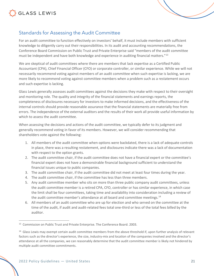



For an audit committee to function effectively on investors' behalf, it must include members with sufficient knowledge to diligently carry out their responsibilities. In its audit and accounting recommendations, the Conference Board Commission on Public Trust and Private Enterprise said "members of the audit committee must be independent and have both knowledge and experience in auditing financial matters."13

We are skeptical of audit committees where there are members that lack expertise as a Certified Public Accountant (CPA), Chief Financial Officer (CFO) or corporate controller, or similar experience. While we will not necessarily recommend voting against members of an audit committee when such expertise is lacking, we are more likely to recommend voting against committee members when a problem such as a restatement occurs and such expertise is lacking.

Glass Lewis generally assesses audit committees against the decisions they make with respect to their oversight and monitoring role. The quality and integrity of the financial statements and earnings reports, the completeness of disclosures necessary for investors to make informed decisions, and the effectiveness of the internal controls should provide reasonable assurance that the financial statements are materially free from errors. The independence of the external auditors and the results of their work all provide useful information by which to assess the audit committee.

When assessing the decisions and actions of the audit committee, we typically defer to its judgment and generally recommend voting in favor of its members. However, we will consider recommending that shareholders vote against the following:

- 1. All members of the audit committee when options were backdated, there is a lack of adequate controls in place, there was a resulting restatement, and disclosures indicate there was a lack of documentation with respect to the option grants.
- 2. The audit committee chair, if the audit committee does not have a financial expert or the committee's financial expert does not have a demonstrable financial background sufficient to understand the financial issues unique to public companies.
- 3. The audit committee chair, if the audit committee did not meet at least four times during the year.
- 4. The audit committee chair, if the committee has less than three members.
- 5. Any audit committee member who sits on more than three public company audit committees, unless the audit committee member is a retired CPA, CFO, controller or has similar experience, in which case the limit shall be four committees, taking time and availability into consideration including a review of the audit committee member's attendance at all board and committee meetings.<sup>14</sup>
- 6. All members of an audit committee who are up for election and who served on the committee at the time of the audit, if audit and audit-related fees total one-third or less of the total fees billed by the auditor.

<sup>&</sup>lt;sup>13</sup> Commission on Public Trust and Private Enterprise. The Conference Board. 2003.

 $14$  Glass Lewis may exempt certain audit committee members from the above threshold if, upon further analysis of relevant factors such as the director's experience, the size, industry-mix and location of the companies involved and the director's attendance at all the companies, we can reasonably determine that the audit committee member is likely not hindered by multiple audit committee commitments.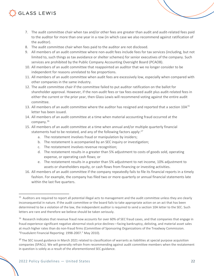- 7. The audit committee chair when tax and/or other fees are greater than audit and audit-related fees paid to the auditor for more than one year in a row (in which case we also recommend against ratification of the auditor).
- 8. The audit committee chair when fees paid to the auditor are not disclosed.
- 9. All members of an audit committee where non-audit fees include fees for tax services (including, but not limited to, such things as tax avoidance or shelter schemes) for senior executives of the company. Such services are prohibited by the Public Company Accounting Oversight Board (PCAOB).
- 10. All members of an audit committee that reappointed an auditor that we no longer consider to be independent for reasons unrelated to fee proportions.
- 11. All members of an audit committee when audit fees are excessively low, especially when compared with other companies in the same industry.
- 12. The audit committee chair if the committee failed to put auditor ratification on the ballot for shareholder approval. However, if the non-audit fees or tax fees exceed audit plus audit-related fees in either the current or the prior year, then Glass Lewis will recommend voting against the entire audit committee.
- 13. All members of an audit committee where the auditor has resigned and reported that a section 10A<sup>15</sup> letter has been issued.
- 14. All members of an audit committee at a time when material accounting fraud occurred at the company.16
- 15. All members of an audit committee at a time when annual and/or multiple quarterly financial statements had to be restated, and any of the following factors apply: $17$ 
	- a. The restatement involves fraud or manipulation by insiders;
	- b. The restatement is accompanied by an SEC inquiry or investigation;
	- c. The restatement involves revenue recognition;
	- d. The restatement results in a greater than 5% adjustment to costs of goods sold, operating expense, or operating cash flows; or
	- e. The restatement results in a greater than 5% adjustment to net income, 10% adjustment to assets or shareholders equity, or cash flows from financing or investing activities.
- 16. All members of an audit committee if the company repeatedly fails to file its financial reports in a timely fashion. For example, the company has filed two or more quarterly or annual financial statements late within the last five quarters.

<sup>&</sup>lt;sup>15</sup> Auditors are required to report all potential illegal acts to management and the audit committee unless they are clearly inconsequential in nature. If the audit committee or the board fails to take appropriate action on an act that has been determined to be a violation of the law, the independent auditor is required to send a section 10A letter to the SEC. Such letters are rare and therefore we believe should be taken seriously.

<sup>&</sup>lt;sup>16</sup> Research indicates that revenue fraud now accounts for over 60% of SEC fraud cases, and that companies that engage in fraud experience significant negative abnormal stock price declines—facing bankruptcy, delisting, and material asset sales at much higher rates than do non-fraud firms (Committee of Sponsoring Organizations of the Treadway Commission. "Fraudulent Financial Reporting: 1998-2007." May 2010).

<sup>&</sup>lt;sup>17</sup> The SEC issued guidance in March 2021 related to classification of warrants as liabilities at special purpose acquisition companies (SPACs). We will generally refrain from recommending against audit committee members when the restatement in question is solely as a result of the aforementioned SEC guidance.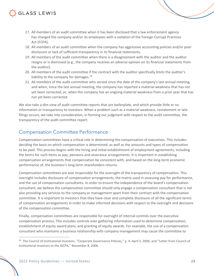- 17. All members of an audit committee when it has been disclosed that a law enforcement agency has charged the company and/or its employees with a violation of the Foreign Corrupt Practices Act (FCPA).
- 18. All members of an audit committee when the company has aggressive accounting policies and/or poor disclosure or lack of sufficient transparency in its financial statements.
- 19. All members of the audit committee when there is a disagreement with the auditor and the auditor resigns or is dismissed (e.g., the company receives an adverse opinion on its financial statements from the auditor).
- 20. All members of the audit committee if the contract with the auditor specifically limits the auditor's liability to the company for damages. $^{18}$
- 21. All members of the audit committee who served since the date of the company's last annual meeting, and when, since the last annual meeting, the company has reported a material weakness that has not yet been corrected, or, when the company has an ongoing material weakness from a prior year that has not yet been corrected.

We also take a dim view of audit committee reports that are boilerplate, and which provide little or no information or transparency to investors. When a problem such as a material weakness, restatement or late filings occurs, we take into consideration, in forming our judgment with respect to the audit committee, the transparency of the audit committee report.

## Compensation Committee Performance

Compensation committees have a critical role in determining the compensation of executives. This includes deciding the basis on which compensation is determined, as well as the amounts and types of compensation to be paid. This process begins with the hiring and initial establishment of employment agreements, including the terms for such items as pay, pensions and severance arrangements. It is important in establishing compensation arrangements that compensation be consistent with, and based on the long-term economic performance of, the business's long-term shareholders returns.

Compensation committees are also responsible for the oversight of the transparency of compensation. This oversight includes disclosure of compensation arrangements, the matrix used in assessing pay for performance, and the use of compensation consultants. In order to ensure the independence of the board's compensation consultant, we believe the compensation committee should only engage a compensation consultant that is not also providing any services to the company or management apart from their contract with the compensation committee. It is important to investors that they have clear and complete disclosure of all the significant terms of compensation arrangements in order to make informed decisions with respect to the oversight and decisions of the compensation committee.

Finally, compensation committees are responsible for oversight of internal controls over the executive compensation process. This includes controls over gathering information used to determine compensation, establishment of equity award plans, and granting of equity awards. For example, the use of a compensation consultant who maintains a business relationship with company management may cause the committee to

<sup>&</sup>lt;sup>18</sup> The Council of Institutional Investors. "Corporate Governance Policies," p. 4, April 5, 2006; and "Letter from Council of Institutional Investors to the AICPA," November 8, 2006.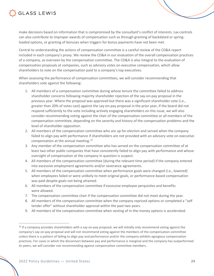

make decisions based on information that is compromised by the consultant's conflict of interests. Lax controls can also contribute to improper awards of compensation such as through granting of backdated or springloaded options, or granting of bonuses when triggers for bonus payments have not been met.

Central to understanding the actions of compensation committee is a careful review of the CD&A report included in each company's proxy. We review the CD&A in our evaluation of the overall compensation practices of a company, as overseen by the compensation committee. The CD&A is also integral to the evaluation of compensation proposals at companies, such as advisory votes on executive compensation, which allow shareholders to vote on the compensation paid to a company's top executives.

When assessing the performance of compensation committees, we will consider recommending that shareholders vote against the following:

- 1. All members of a compensation committee during whose tenure the committee failed to address shareholder concerns following majority shareholder rejection of the say-on-pay proposal in the previous year. Where the proposal was approved but there was a significant shareholder vote (i.e., greater than 20% of votes cast) against the say-on-pay proposal in the prior year, if the board did not respond sufficiently to the vote including actively engaging shareholders on this issue, we will also consider recommending voting against the chair of the compensation committee or all members of the compensation committee, depending on the severity and history of the compensation problems and the level of shareholder opposition.
- 2. All members of the compensation committee who are up for election and served when the company failed to align pay with performance if shareholders are not provided with an advisory vote on executive compensation at the annual meeting.19
- 3. Any member of the compensation committee who has served on the compensation committee of at least two other public companies that have consistently failed to align pay with performance and whose oversight of compensation at the company in question is suspect.
- 4. All members of the compensation committee (during the relevant time period) if the company entered into excessive employment agreements and/or severance agreements.
- 5. All members of the compensation committee when performance goals were changed (i.e., lowered) when employees failed or were unlikely to meet original goals, or performance-based compensation was paid despite goals not being attained.
- 6. All members of the compensation committee if excessive employee perquisites and benefits were allowed.
- 7. The compensation committee chair if the compensation committee did not meet during the year.
- 8. All members of the compensation committee when the company repriced options or completed a "self tender offer" without shareholder approval within the past two years.
- 9. All members of the compensation committee when vesting of in-the-money options is accelerated.

 $19$  If a company provides shareholders with a say-on-pay proposal, we will initially only recommend voting against the company's say-on-pay proposal and will not recommend voting against the members of the compensation committee unless there is a pattern of failing to align pay and performance and/or the company exhibits egregious compensation practices. For cases in which the disconnect between pay and performance is marginal and the company has outperformed its peers, we will consider not recommending against compensation committee members.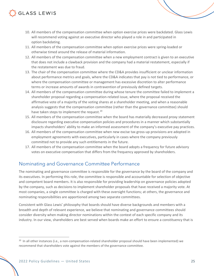- 10. All members of the compensation committee when option exercise prices were backdated. Glass Lewis will recommend voting against an executive director who played a role in and participated in option backdating.
- 11. All members of the compensation committee when option exercise prices were spring-loaded or otherwise timed around the release of material information.
- 12. All members of the compensation committee when a new employment contract is given to an executive that does not include a clawback provision and the company had a material restatement, especially if the restatement was due to fraud.
- 13. The chair of the compensation committee where the CD&A provides insufficient or unclear information about performance metrics and goals, where the CD&A indicates that pay is not tied to performance, or where the compensation committee or management has excessive discretion to alter performance terms or increase amounts of awards in contravention of previously defined targets.
- 14. All members of the compensation committee during whose tenure the committee failed to implement a shareholder proposal regarding a compensation-related issue, where the proposal received the affirmative vote of a majority of the voting shares at a shareholder meeting, and when a reasonable analysis suggests that the compensation committee (rather than the governance committee) should have taken steps to implement the request.<sup>20</sup>
- 15. All members of the compensation committee when the board has materially decreased proxy statement disclosure regarding executive compensation policies and procedures in a manner which substantially impacts shareholders' ability to make an informed assessment of the company's executive pay practices.
- 16. All members of the compensation committee when new excise tax gross-up provisions are adopted in employment agreements with executives, particularly in cases where the company previously committed not to provide any such entitlements in the future.
- 17. All members of the compensation committee when the board adopts a frequency for future advisory votes on executive compensation that differs from the frequency approved by shareholders.

## Nominating and Governance Committee Performance

The nominating and governance committee is responsible for the governance by the board of the company and its executives. In performing this role, the committee is responsible and accountable for selection of objective and competent board members. It is also responsible for providing leadership on governance policies adopted by the company, such as decisions to implement shareholder proposals that have received a majority vote. At most companies, a single committee is charged with these oversight functions; at others, the governance and nominating responsibilities are apportioned among two separate committees.

Consistent with Glass Lewis' philosophy that boards should have diverse backgrounds and members with a breadth and depth of relevant experience, we believe that nominating and governance committees should consider diversity when making director nominations within the context of each specific company and its industry. In our view, shareholders are best served when boards make an effort to ensure a constituency that is

<sup>&</sup>lt;sup>20</sup> In all other instances (i.e., a non-compensation-related shareholder proposal should have been implemented) we recommend that shareholders vote against the members of the governance committee.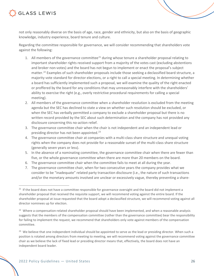

not only reasonably diverse on the basis of age, race, gender and ethnicity, but also on the basis of geographic knowledge, industry experience, board tenure and culture.

Regarding the committee responsible for governance, we will consider recommending that shareholders vote against the following:

- 1. All members of the governance committee<sup>21</sup> during whose tenure a shareholder proposal relating to important shareholder rights received support from a majority of the votes cast (excluding abstentions and broker non-votes) and the board has not begun to implement or enact the proposal's subject matter.<sup>22</sup> Examples of such shareholder proposals include those seeking a declassified board structure, a majority vote standard for director elections, or a right to call a special meeting. In determining whether a board has sufficiently implemented such a proposal, we will examine the quality of the right enacted or proffered by the board for any conditions that may unreasonably interfere with the shareholders' ability to exercise the right (e.g., overly restrictive procedural requirements for calling a special meeting).
- 2. All members of the governance committee when a shareholder resolution is excluded from the meeting agenda but the SEC has declined to state a view on whether such resolution should be excluded, or when the SEC has verbally permitted a company to exclude a shareholder proposal but there is no written record provided by the SEC about such determination and the company has not provided any disclosure concerning this no-action relief.
- 3. The governance committee chair when the chair is not independent and an independent lead or presiding director has not been appointed.<sup>23</sup>
- 4. The governance committee chair at companies with a multi-class share structure and unequal voting rights when the company does not provide for a reasonable sunset of the multi-class share structure (generally seven years or less).
- 5. In the absence of a nominating committee, the governance committee chair when there are fewer than five, or the whole governance committee when there are more than 20 members on the board.
- 6. The governance committee chair when the committee fails to meet at all during the year.
- 7. The governance committee chair, when for two consecutive years the company provides what we consider to be "inadequate" related party transaction disclosure (i.e., the nature of such transactions and/or the monetary amounts involved are unclear or excessively vague, thereby preventing a share-

<sup>&</sup>lt;sup>21</sup> If the board does not have a committee responsible for governance oversight and the board did not implement a shareholder proposal that received the requisite support, we will recommend voting against the entire board. If the shareholder proposal at issue requested that the board adopt a declassified structure, we will recommend voting against all director nominees up for election.

<sup>&</sup>lt;sup>22</sup> Where a compensation-related shareholder proposal should have been implemented, and when a reasonable analysis suggests that the members of the compensation committee (rather than the governance committee) bear the responsibility for failing to implement the request, we recommend that shareholders only vote against members of the compensation committee.

 $23$  We believe that one independent individual should be appointed to serve as the lead or presiding director. When such a position is rotated among directors from meeting to meeting, we will recommend voting against the governance committee chair as we believe the lack of fixed lead or presiding director means that, effectively, the board does not have an independent board leader.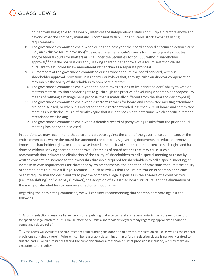holder from being able to reasonably interpret the independence status of multiple directors above and beyond what the company maintains is compliant with SEC or applicable stock exchange listing requirements).

- 8. The governance committee chair, when during the past year the board adopted a forum selection clause (i.e., an exclusive forum provision)<sup>24</sup> designating either a state's courts for intra-corporate disputes, and/or federal courts for matters arising under the Securities Act of 1933 without shareholder approval,<sup>25</sup> or if the board is currently seeking shareholder approval of a forum selection clause pursuant to a bundled bylaw amendment rather than as a separate proposal.
- 9. All members of the governance committee during whose tenure the board adopted, without shareholder approval, provisions in its charter or bylaws that, through rules on director compensation, may inhibit the ability of shareholders to nominate directors.
- 10. The governance committee chair when the board takes actions to limit shareholders' ability to vote on matters material to shareholder rights (e.g., through the practice of excluding a shareholder proposal by means of ratifying a management proposal that is materially different from the shareholder proposal).
- 11. The governance committee chair when directors' records for board and committee meeting attendance are not disclosed, or when it is indicated that a director attended less than 75% of board and committee meetings but disclosure is sufficiently vague that it is not possible to determine which specific director's attendance was lacking.
- 12. The governance committee chair when a detailed record of proxy voting results from the prior annual meeting has not been disclosed.

In addition, we may recommend that shareholders vote against the chair of the governance committee, or the entire committee, where the board has amended the company's governing documents to reduce or remove important shareholder rights, or to otherwise impede the ability of shareholders to exercise such right, and has done so without seeking shareholder approval. Examples of board actions that may cause such a recommendation include: the elimination of the ability of shareholders to call a special meeting or to act by written consent; an increase to the ownership threshold required for shareholders to call a special meeting; an increase to vote requirements for charter or bylaw amendments; the adoption of provisions that limit the ability of shareholders to pursue full legal recourse — such as bylaws that require arbitration of shareholder claims or that require shareholder plaintiffs to pay the company's legal expenses in the absence of a court victory (i.e., "fee-shifting" or "loser pays" bylaws); the adoption of a classified board structure; and the elimination of the ability of shareholders to remove a director without cause.

Regarding the nominating committee, we will consider recommending that shareholders vote against the following:

<sup>&</sup>lt;sup>24</sup> A forum selection clause is a bylaw provision stipulating that a certain state or federal jurisdiction is the exclusive forum for specified legal matters. Such a clause effectively limits a shareholder's legal remedy regarding appropriate choice of venue and related relief.

<sup>&</sup>lt;sup>25</sup> Glass Lewis will evaluate the circumstances surrounding the adoption of any forum selection clause as well as the general provisions contained therein. Where it can be reasonably determined that a forum selection clause is narrowly crafted to suit the particular circumstances facing the company and/or a reasonable sunset provision is included, we may make an exception to this policy.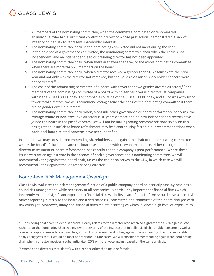- 1. All members of the nominating committee, when the committee nominated or renominated an individual who had a significant conflict of interest or whose past actions demonstrated a lack of integrity or inability to represent shareholder interests.
- 2. The nominating committee chair, if the nominating committee did not meet during the year.
- 3. In the absence of a governance committee, the nominating committee chair when the chair is not independent, and an independent lead or presiding director has not been appointed.
- 4. The nominating committee chair, when there are fewer than five, or the whole nominating committee when there are more than 20 members on the board.
- 5. The nominating committee chair, when a director received a greater than 50% against vote the prior year and not only was the director not removed, but the issues that raised shareholder concern were not corrected.26
- 6. The chair of the nominating committee of a board with fewer than two gender diverse directors,  $27$  or all members of the nominating committee of a board with no gender diverse directors, at companies within the Russell 3000 index. For companies outside of the Russell 3000 index, and all boards with six or fewer total directors, we will recommend voting against the chair of the nominating committee if there are no gender diverse directors.
- 7. The nominating committee chair when, alongside other governance or board performance concerns, the average tenure of non-executive directors is 10 years or more and no new independent directors have joined the board in the past five years. We will not be making voting recommendations solely on this basis; rather, insufficient board refreshment may be a contributing factor in our recommendations when additional board-related concerns have been identified.

In addition, we may consider recommending shareholders vote against the chair of the nominating committee where the board's failure to ensure the board has directors with relevant experience, either through periodic director assessment or board refreshment, has contributed to a company's poor performance. Where these issues warrant an against vote in the absence of both a governance and a nominating committee, we will recommend voting against the board chair, unless the chair also serves as the CEO, in which case we will recommend voting against the longest-serving director.

## Board-level Risk Management Oversight

Glass Lewis evaluates the risk management function of a public company board on a strictly case-by-case basis. Sound risk management, while necessary at all companies, is particularly important at financial firms which inherently maintain significant exposure to financial risk. We believe such financial firms should have a chief risk officer reporting directly to the board and a dedicated risk committee or a committee of the board charged with risk oversight. Moreover, many non-financial firms maintain strategies which involve a high level of exposure to

<sup>&</sup>lt;sup>26</sup> Considering that shareholder disapproval clearly relates to the director who received a greater than 50% against vote rather than the nominating chair, we review the severity of the issue(s) that initially raised shareholder concern as well as company responsiveness to such matters, and will only recommend voting against the nominating chair if a reasonable analysis suggests that it would be most appropriate. In rare cases, we will consider recommending against the nominating chair when a director receives a substantial (i.e., 20% or more) vote against based on the same analysis.

 $27$  Women and directors that identify with a gender other than male or female.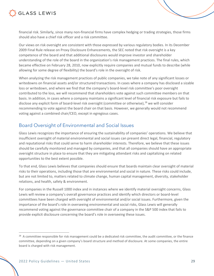

financial risk. Similarly, since many non-financial firms have complex hedging or trading strategies, those firms should also have a chief risk officer and a risk committee.

Our views on risk oversight are consistent with those expressed by various regulatory bodies. In its December 2009 Final Rule release on Proxy Disclosure Enhancements, the SEC noted that risk oversight is a key competence of the board and that additional disclosures would improve investor and shareholder understanding of the role of the board in the organization's risk management practices. The final rules, which became effective on February 28, 2010, now explicitly require companies and mutual funds to describe (while allowing for some degree of flexibility) the board's role in the oversight of risk.

When analyzing the risk management practices of public companies, we take note of any significant losses or writedowns on financial assets and/or structured transactions. In cases where a company has disclosed a sizable loss or writedown, and where we find that the company's board-level risk committee's poor oversight contributed to the loss, we will recommend that shareholders vote against such committee members on that basis. In addition, in cases where a company maintains a significant level of financial risk exposure but fails to disclose any explicit form of board-level risk oversight (committee or otherwise), <sup>28</sup> we will consider recommending to vote against the board chair on that basis. However, we generally would not recommend voting against a combined chair/CEO, except in egregious cases.

## Board Oversight of Environmental and Social Issues

Glass Lewis recognizes the importance of ensuring the sustainability of companies' operations. We believe that insufficient oversight of material environmental and social issues can present direct legal, financial, regulatory and reputational risks that could serve to harm shareholder interests. Therefore, we believe that these issues should be carefully monitored and managed by companies, and that all companies should have an appropriate oversight structure in place to ensure that they are mitigating attendant risks and capitalizing on related opportunities to the best extent possible.

To that end, Glass Lewis believes that companies should ensure that boards maintain clear oversight of material risks to their operations, including those that are environmental and social in nature. These risks could include, but are not limited to, matters related to climate change, human capital management, diversity, stakeholder relations, and health, safety & environment.

For companies in the Russell 1000 index and in instances where we identify material oversight concerns, Glass Lewis will review a company's overall governance practices and identify which directors or board-level committees have been charged with oversight of environmental and/or social issues. Furthermore, given the importance of the board's role in overseeing environmental and social risks, Glass Lewis will generally recommend voting against the governance committee chair of a company in the S&P 500 index that fails to provide explicit disclosure concerning the board's role in overseeing these issues.

<sup>&</sup>lt;sup>28</sup> A committee responsible for risk management could be a dedicated risk committee, the audit committee, or the finance committee, depending on a given company's board structure and method of disclosure. At some companies, the entire board is charged with risk management.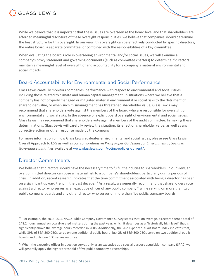

While we believe that it is important that these issues are overseen at the board level and that shareholders are afforded meaningful disclosure of these oversight responsibilities, we believe that companies should determine the best structure for this oversight. In our view, this oversight can be effectively conducted by specific directors, the entire board, a separate committee, or combined with the responsibilities of a key committee.

When evaluating the board's role in overseeing environmental and/or social issues, we will examine a company's proxy statement and governing documents (such as committee charters) to determine if directors maintain a meaningful level of oversight of and accountability for a company's material environmental and social impacts.

## Board Accountability for Environmental and Social Performance

Glass Lewis carefully monitors companies' performance with respect to environmental and social issues, including those related to climate and human capital management. In situations where we believe that a company has not properly managed or mitigated material environmental or social risks to the detriment of shareholder value, or when such mismanagement has threatened shareholder value, Glass Lewis may recommend that shareholders vote against the members of the board who are responsible for oversight of environmental and social risks. In the absence of explicit board oversight of environmental and social issues, Glass Lewis may recommend that shareholders vote against members of the audit committee. In making these determinations, Glass Lewis will carefully review the situation, its effect on shareholder value, as well as any corrective action or other response made by the company.

For more information on how Glass Lewis evaluates environmental and social issues, please see Glass Lewis' Overall Approach to ESG as well as our comprehensive *Proxy Paper Guidelines for Environmental, Social & Governance Initiatives* available at www.glasslewis.com/voting-policies-current/.

## Director Commitments

We believe that directors should have the necessary time to fulfill their duties to shareholders. In our view, an overcommitted director can pose a material risk to a company's shareholders, particularly during periods of crisis. In addition, recent research indicates that the time commitment associated with being a director has been on a significant upward trend in the past decade.<sup>29</sup> As a result, we generally recommend that shareholders vote against a director who serves as an executive officer of any public company<sup>30</sup> while serving on more than two public company boards and any other director who serves on more than five public company boards.

 $29$  For example, the 2015-2016 NACD Public Company Governance Survey states that, on average, directors spent a total of 248.2 hours annual on board-related matters during the past year, which it describes as a "historically high level" that is significantly above the average hours recorded in 2006. Additionally, the 2020 Spencer Stuart Board Index indicates that, while 39% of S&P 500 CEOs serve on one additional public board, just 2% of S&P 500 CEOs serve on two additional public boards and only one CEO serves on three.

<sup>&</sup>lt;sup>30</sup> When the executive officer in question serves only as an executive at a special purpose acquisition company (SPAC) we will generally apply the higher threshold of five public company directorships.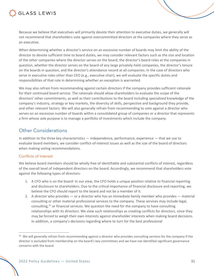

Because we believe that executives will primarily devote their attention to executive duties, we generally will not recommend that shareholders vote against overcommitted directors at the companies where they serve as an executive.

When determining whether a director's service on an excessive number of boards may limit the ability of the director to devote sufficient time to board duties, we may consider relevant factors such as the size and location of the other companies where the director serves on the board, the director's board roles at the companies in question, whether the director serves on the board of any large privately-held companies, the director's tenure on the boards in question, and the director's attendance record at all companies. In the case of directors who serve in executive roles other than CEO (e.g., executive chair), we will evaluate the specific duties and responsibilities of that role in determining whether an exception is warranted.

We may also refrain from recommending against certain directors if the company provides sufficient rationale for their continued board service. The rationale should allow shareholders to evaluate the scope of the directors' other commitments, as well as their contributions to the board including specialized knowledge of the company's industry, strategy or key markets, the diversity of skills, perspective and background they provide, and other relevant factors. We will also generally refrain from recommending to vote against a director who serves on an excessive number of boards within a consolidated group of companies or a director that represents a firm whose sole purpose is to manage a portfolio of investments which include the company.

### Other Considerations

In addition to the three key characteristics — independence, performance, experience — that we use to evaluate board members, we consider conflict-of-interest issues as well as the size of the board of directors when making voting recommendations.

#### Conflicts of Interest

We believe board members should be wholly free of identifiable and substantial conflicts of interest, regardless of the overall level of independent directors on the board. Accordingly, we recommend that shareholders vote against the following types of directors:

- 1. A CFO who is on the board: In our view, the CFO holds a unique position relative to financial reporting and disclosure to shareholders. Due to the critical importance of financial disclosure and reporting, we believe the CFO should report to the board and not be a member of it.
- 2. A director who provides or a director who has an immediate family member who provides material consulting or other material professional services to the company. These services may include legal, consulting, $31$  or financial services. We question the need for the company to have consulting relationships with its directors. We view such relationships as creating conflicts for directors, since they may be forced to weigh their own interests against shareholder interests when making board decisions. In addition, a company's decisions regarding where to turn for the best professional

<sup>&</sup>lt;sup>31</sup> We will generally refrain from recommending against a director who provides consulting services for the company if the director is excluded from membership on the board's key committees and we have not identified significant governance concerns with the board.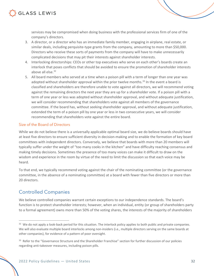

services may be compromised when doing business with the professional services firm of one of the company's directors.

- 3. A director, or a director who has an immediate family member, engaging in airplane, real estate, or similar deals, including perquisite-type grants from the company, amounting to more than \$50,000. Directors who receive these sorts of payments from the company will have to make unnecessarily complicated decisions that may pit their interests against shareholder interests.
- 4. Interlocking directorships: CEOs or other top executives who serve on each other's boards create an interlock that poses conflicts that should be avoided to ensure the promotion of shareholder interests above all else $32$
- 5. All board members who served at a time when a poison pill with a term of longer than one year was adopted without shareholder approval within the prior twelve months.<sup>33</sup> In the event a board is classified and shareholders are therefore unable to vote against all directors, we will recommend voting against the remaining directors the next year they are up for a shareholder vote. If a poison pill with a term of one year or less was adopted without shareholder approval, and without adequate justification, we will consider recommending that shareholders vote against all members of the governance committee. If the board has, without seeking shareholder approval, and without adequate justification, extended the term of a poison pill by one year or less in two consecutive years, we will consider recommending that shareholders vote against the entire board.

#### Size of the Board of Directors

While we do not believe there is a universally applicable optimal board size, we do believe boards should have at least five directors to ensure sufficient diversity in decision-making and to enable the formation of key board committees with independent directors. Conversely, we believe that boards with more than 20 members will typically suffer under the weight of "too many cooks in the kitchen" and have difficulty reaching consensus and making timely decisions. Sometimes the presence of too many voices can make it difficult to draw on the wisdom and experience in the room by virtue of the need to limit the discussion so that each voice may be heard.

To that end, we typically recommend voting against the chair of the nominating committee (or the governance committee, in the absence of a nominating committee) at a board with fewer than five directors or more than 20 directors.

## Controlled Companies

We believe controlled companies warrant certain exceptions to our independence standards. The board's function is to protect shareholder interests; however, when an individual, entity (or group of shareholders party to a formal agreement) owns more than 50% of the voting shares, the interests of the majority of shareholders

<sup>&</sup>lt;sup>32</sup> We do not apply a look-back period for this situation. The interlock policy applies to both public and private companies. We will also evaluate multiple board interlocks among non-insiders (i.e., multiple directors serving on the same boards at other companies), for evidence of a pattern of poor oversight.

<sup>&</sup>lt;sup>33</sup> Refer to the "Governance Structure and the Shareholder Franchise" section for further discussion of our policies regarding anti-takeover measures, including poison pills.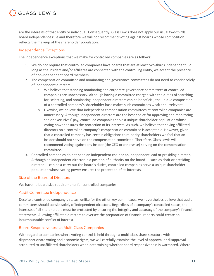

are the interests of that entity or individual. Consequently, Glass Lewis does not apply our usual two-thirds board independence rule and therefore we will not recommend voting against boards whose composition reflects the makeup of the shareholder population.

#### Independence Exceptions

The independence exceptions that we make for controlled companies are as follows:

- 1. We do not require that controlled companies have boards that are at least two-thirds independent. So long as the insiders and/or affiliates are connected with the controlling entity, we accept the presence of non-independent board members.
- 2. The compensation committee and nominating and governance committees do not need to consist solely of independent directors.
	- a. We believe that standing nominating and corporate governance committees at controlled companies are unnecessary. Although having a committee charged with the duties of searching for, selecting, and nominating independent directors can be beneficial, the unique composition of a controlled company's shareholder base makes such committees weak and irrelevant.
	- b. Likewise, we believe that independent compensation committees at controlled companies are unnecessary. Although independent directors are the best choice for approving and monitoring senior executives' pay, controlled companies serve a unique shareholder population whose voting power ensures the protection of its interests. As such, we believe that having affiliated directors on a controlled company's compensation committee is acceptable. However, given that a controlled company has certain obligations to minority shareholders we feel that an insider should not serve on the compensation committee. Therefore, Glass Lewis will recommend voting against any insider (the CEO or otherwise) serving on the compensation committee.
- 3. Controlled companies do not need an independent chair or an independent lead or presiding director. Although an independent director in a position of authority on the board — such as chair or presiding director — can best carry out the board's duties, controlled companies serve a unique shareholder population whose voting power ensures the protection of its interests.

#### Size of the Board of Directors

We have no board size requirements for controlled companies.

#### Audit Committee Independence

Despite a controlled company's status, unlike for the other key committees, we nevertheless believe that audit committees should consist solely of independent directors. Regardless of a company's controlled status, the interests of all shareholders must be protected by ensuring the integrity and accuracy of the company's financial statements. Allowing affiliated directors to oversee the preparation of financial reports could create an insurmountable conflict of interest.

#### Board Responsiveness at Multi-Class Companies

With regard to companies where voting control is held through a multi-class share structure with disproportionate voting and economic rights, we will carefully examine the level of approval or disapproval attributed to unaffiliated shareholders when determining whether board responsiveness is warranted. Where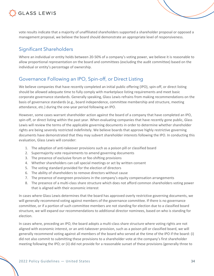

vote results indicate that a majority of unaffiliated shareholders supported a shareholder proposal or opposed a management proposal, we believe the board should demonstrate an appropriate level of responsiveness.

## Significant Shareholders

Where an individual or entity holds between 20-50% of a company's voting power, we believe it is reasonable to allow proportional representation on the board and committees (excluding the audit committee) based on the individual or entity's percentage of ownership.

## Governance Following an IPO, Spin-off, or Direct Listing

We believe companies that have recently completed an initial public offering (IPO), spin-off, or direct listing should be allowed adequate time to fully comply with marketplace listing requirements and meet basic corporate governance standards. Generally speaking, Glass Lewis refrains from making recommendations on the basis of governance standards (e.g., board independence, committee membership and structure, meeting attendance, etc.) during the one-year period following an IPO.

However, some cases warrant shareholder action against the board of a company that have completed an IPO, spin-off, or direct listing within the past year. When evaluating companies that have recently gone public, Glass Lewis will review the terms of the applicable governing documents in order to determine whether shareholder rights are being severely restricted indefinitely. We believe boards that approve highly restrictive governing documents have demonstrated that they may subvert shareholder interests following the IPO. In conducting this evaluation, Glass Lewis will consider:

- 1. The adoption of anti-takeover provisions such as a poison pill or classified board
- 2. Supermajority vote requirements to amend governing documents
- 3. The presence of exclusive forum or fee-shifting provisions
- 4. Whether shareholders can call special meetings or act by written consent
- 5. The voting standard provided for the election of directors
- 6. The ability of shareholders to remove directors without cause
- 7. The presence of evergreen provisions in the company's equity compensation arrangements
- 8. The presence of a multi-class share structure which does not afford common shareholders voting power that is aligned with their economic interest

In cases where Glass Lewis determines that the board has approved overly restrictive governing documents, we will generally recommend voting against members of the governance committee. If there is no governance committee, or if a portion of such committee members are not standing for election due to a classified board structure, we will expand our recommendations to additional director nominees, based on who is standing for election.

In cases where, preceding an IPO, the board adopts a multi-class share structure where voting rights are not aligned with economic interest, or an anti-takeover provision, such as a poison pill or classified board, we will generally recommend voting against all members of the board who served at the time of the IPO if the board: (i) did not also commit to submitting these provisions to a shareholder vote at the company's first shareholder meeting following the IPO; or (ii) did not provide for a reasonable sunset of these provisions (generally three to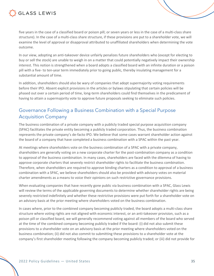

five years in the case of a classified board or poison pill; or seven years or less in the case of a multi-class share structure). In the case of a multi-class share structure, if these provisions are put to a shareholder vote, we will examine the level of approval or disapproval attributed to unaffiliated shareholders when determining the vote outcome.

In our view, adopting an anti-takeover device unfairly penalizes future shareholders who (except for electing to buy or sell the stock) are unable to weigh in on a matter that could potentially negatively impact their ownership interest. This notion is strengthened when a board adopts a classified board with an infinite duration or a poison pill with a five- to ten-year term immediately prior to going public, thereby insulating management for a substantial amount of time.

In addition, shareholders should also be wary of companies that adopt supermajority voting requirements before their IPO. Absent explicit provisions in the articles or bylaws stipulating that certain policies will be phased out over a certain period of time, long-term shareholders could find themselves in the predicament of having to attain a supermajority vote to approve future proposals seeking to eliminate such policies.

## Governance Following a Business Combination with a Special Purpose Acquisition Company

The business combination of a private company with a publicly traded special purpose acquisition company (SPAC) facilitates the private entity becoming a publicly traded corporation. Thus, the business combination represents the private company's de-facto IPO. We believe that some cases warrant shareholder action against the board of a company that have completed a business combination with a SPAC within the past year.

At meetings where shareholders vote on the business combination of a SPAC with a private company, shareholders are generally voting on a new corporate charter for the post-combination company as a condition to approval of the business combination. In many cases, shareholders are faced with the dilemma of having to approve corporate charters that severely restrict shareholder rights to facilitate the business combination. Therefore, when shareholders are required to approve binding charters as a condition to approval of a business combination with a SPAC, we believe shareholders should also be provided with advisory votes on material charter amendments as a means to voice their opinions on such restrictive governance provisions.

When evaluating companies that have recently gone public via business combination with a SPAC, Glass Lewis will review the terms of the applicable governing documents to determine whether shareholder rights are being severely restricted indefinitely and whether these restrictive provisions were put forth for a shareholder vote on an advisory basis at the prior meeting where shareholders voted on the business combination.

In cases where, prior to the combined company becoming publicly traded, the board adopts a multi-class share structure where voting rights are not aligned with economic interest, or an anti-takeover provision, such as a poison pill or classified board, we will generally recommend voting against all members of the board who served at the time of the combined company becoming publicly traded if the board: (i) did not also submit these provisions to a shareholder vote on an advisory basis at the prior meeting where shareholders voted on the business combination; (ii) did not also commit to submitting these provisions to a shareholder vote at the company's first shareholder meeting following the company becoming publicly traded; or (iii) did not provide for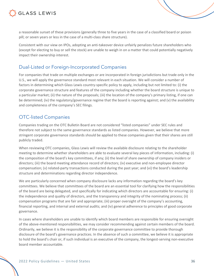



a reasonable sunset of these provisions (generally three to five years in the case of a classified board or poison pill; or seven years or less in the case of a multi-class share structure).

Consistent with our view on IPOs, adopting an anti-takeover device unfairly penalizes future shareholders who (except for electing to buy or sell the stock) are unable to weigh in on a matter that could potentially negatively impact their ownership interest.

## Dual-Listed or Foreign-Incorporated Companies

For companies that trade on multiple exchanges or are incorporated in foreign jurisdictions but trade only in the U.S., we will apply the governance standard most relevant in each situation. We will consider a number of factors in determining which Glass Lewis country-specific policy to apply, including but not limited to: (i) the corporate governance structure and features of the company including whether the board structure is unique to a particular market; (ii) the nature of the proposals; (iii) the location of the company's primary listing, if one can be determined; (iv) the regulatory/governance regime that the board is reporting against; and (v) the availability and completeness of the company's SEC filings.

## OTC-listed Companies

Companies trading on the OTC Bulletin Board are not considered "listed companies" under SEC rules and therefore not subject to the same governance standards as listed companies. However, we believe that more stringent corporate governance standards should be applied to these companies given that their shares are still publicly traded.

When reviewing OTC companies, Glass Lewis will review the available disclosure relating to the shareholder meeting to determine whether shareholders are able to evaluate several key pieces of information, including: (i) the composition of the board's key committees, if any; (ii) the level of share ownership of company insiders or directors; (iii) the board meeting attendance record of directors; (iv) executive and non-employee director compensation; (v) related-party transactions conducted during the past year; and (vi) the board's leadership structure and determinations regarding director independence.

We are particularly concerned when company disclosure lacks any information regarding the board's key committees. We believe that committees of the board are an essential tool for clarifying how the responsibilities of the board are being delegated, and specifically for indicating which directors are accountable for ensuring: (i) the independence and quality of directors, and the transparency and integrity of the nominating process; (ii) compensation programs that are fair and appropriate; (iii) proper oversight of the company's accounting, financial reporting, and internal and external audits; and (iv) general adherence to principles of good corporate governance.

In cases where shareholders are unable to identify which board members are responsible for ensuring oversight of the above-mentioned responsibilities, we may consider recommending against certain members of the board. Ordinarily, we believe it is the responsibility of the corporate governance committee to provide thorough disclosure of the board's governance practices. In the absence of such a committee, we believe it is appropriate to hold the board's chair or, if such individual is an executive of the company, the longest-serving non-executive board member accountable.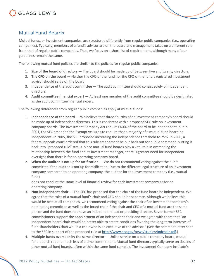

#### Mutual Fund Boards

Mutual funds, or investment companies, are structured differently from regular public companies (i.e., operating companies). Typically, members of a fund's advisor are on the board and management takes on a different role from that of regular public companies. Thus, we focus on a short list of requirements, although many of our guidelines remain the same.

The following mutual fund policies are similar to the policies for regular public companies:

- 1. **Size of the board of directors** The board should be made up of between five and twenty directors.
- 2. **The CFO on the board** Neither the CFO of the fund nor the CFO of the fund's registered investment advisor should serve on the board.
- 3. **Independence of the audit committee** The audit committee should consist solely of independent directors.
- 4. **Audit committee financial expert** At least one member of the audit committee should be designated as the audit committee financial expert.

The following differences from regular public companies apply at mutual funds:

- 1. **Independence of the board** We believe that three-fourths of an investment company's board should be made up of independent directors. This is consistent with a proposed SEC rule on investment company boards. The Investment Company Act requires 40% of the board to be independent, but in 2001, the SEC amended the Exemptive Rules to require that a majority of a mutual fund board be independent. In 2005, the SEC proposed increasing the independence threshold to 75%. In 2006, a federal appeals court ordered that this rule amendment be put back out for public comment, putting it back into "proposed rule" status. Since mutual fund boards play a vital role in overseeing the relationship between the fund and its investment manager, there is greater need for independent oversight than there is for an operating company board.
- 2. **When the auditor is not up for ratification** We do not recommend voting against the audit committee if the auditor is not up for ratification. Due to the different legal structure of an investment company compared to an operating company, the auditor for the investment company (i.e., mutual fund)

does not conduct the same level of financial review for each investment company as for an operating company.

- 3. **Non-independent chair** The SEC has proposed that the chair of the fund board be independent. We agree that the roles of a mutual fund's chair and CEO should be separate. Although we believe this would be best at all companies, we recommend voting against the chair of an investment company's nominating committee as well as the board chair if the chair and CEO of a mutual fund are the same person and the fund does not have an independent lead or presiding director. Seven former SEC commissioners support the appointment of an independent chair and we agree with them that "an independent board chair would be better able to create conditions favoring the long-term interests of fund shareholders than would a chair who is an executive of the advisor." (See the comment letter sent to the SEC in support of the proposed rule at http://www.sec.gov/news/studies/indchair.pdf.)
- 4. **Multiple funds overseen by the same director** Unlike service on a public company board, mutual fund boards require much less of a time commitment. Mutual fund directors typically serve on dozens of other mutual fund boards, often within the same fund complex. The Investment Company Institute's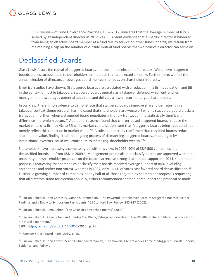

(ICI) Overview of Fund Governance Practices, 1994-2012, indicates that the average number of funds served by an independent director in 2012 was 53. Absent evidence that a specific director is hindered from being an effective board member at a fund due to service on other funds' boards, we refrain from maintaining a cap on the number of outside mutual fund boards that we believe a director can serve on.

### Declassified Boards

Glass Lewis favors the repeal of staggered boards and the annual election of directors. We believe staggered boards are less accountable to shareholders than boards that are elected annually. Furthermore, we feel the annual election of directors encourages board members to focus on shareholder interests.

Empirical studies have shown: (i) staggered boards are associated with a reduction in a firm's valuation; and (ii) in the context of hostile takeovers, staggered boards operate as a takeover defense, which entrenches management, discourages potential acquirers, and delivers a lower return to target shareholders.

In our view, there is no evidence to demonstrate that staggered boards improve shareholder returns in a takeover context. Some research has indicated that shareholders are worse off when a staggered board blocks a transaction; further, when a staggered board negotiates a friendly transaction, no statistically significant difference in premium occurs.<sup>34</sup> Additional research found that charter-based staggered boards "reduce the market value of a firm by 4% to 6% of its market capitalization" and that "staggered boards bring about and not merely reflect this reduction in market value."<sup>35</sup> A subsequent study reaffirmed that classified boards reduce shareholder value, finding "that the ongoing process of dismantling staggered boards, encouraged by institutional investors, could well contribute to increasing shareholder wealth."<sup>36</sup>

Shareholders have increasingly come to agree with this view. In 2019, 90% of S&P 500 companies had declassified boards, up from 68% in 2009.<sup>37</sup> Management proposals to declassify boards are approved with near unanimity and shareholder proposals on the topic also receive strong shareholder support; in 2014, shareholder proposals requesting that companies declassify their boards received average support of 84% (excluding abstentions and broker non-votes), whereas in 1987, only 16.4% of votes cast favored board declassification.<sup>38</sup> Further, a growing number of companies, nearly half of all those targeted by shareholder proposals requesting that all directors stand for election annually, either recommended shareholders support the proposal or made

SSRN: http://ssrn.com/abstract=1706806 (2010), p. 26.

<sup>34</sup> Lucian Bebchuk, John Coates IV, Guhan Subramanian, "The Powerful Antitakeover Force of Staggered Boards: Further Findings and a Reply to Symposium Participants," 55 Stanford Law Review 885-917 (2002).

<sup>&</sup>lt;sup>35</sup> Lucian Bebchuk, Alma Cohen, "The Costs of Entrenched Boards" (2004).

<sup>&</sup>lt;sup>36</sup> Lucian Bebchuk, Alma Cohen and Charles C.Y. Wang, "Staggered Boards and the Wealth of Shareholders: Evidence from a Natural Experiment,"

<sup>&</sup>lt;sup>37</sup> Spencer Stuart Board Index, 2019, p. 15.

<sup>38</sup> Lucian Bebchuk, John Coates IV and Guhan Subramanian, "The Powerful Antitakeover Force of Staggered Boards: Theory, Evidence, and Policy".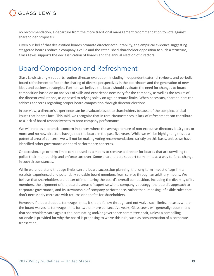

no recommendation, a departure from the more traditional management recommendation to vote against shareholder proposals.

Given our belief that declassified boards promote director accountability, the empirical evidence suggesting staggered boards reduce a company's value and the established shareholder opposition to such a structure, Glass Lewis supports the declassification of boards and the annual election of directors.

### Board Composition and Refreshment

Glass Lewis strongly supports routine director evaluation, including independent external reviews, and periodic board refreshment to foster the sharing of diverse perspectives in the boardroom and the generation of new ideas and business strategies. Further, we believe the board should evaluate the need for changes to board composition based on an analysis of skills and experience necessary for the company, as well as the results of the director evaluations, as opposed to relying solely on age or tenure limits. When necessary, shareholders can address concerns regarding proper board composition through director elections.

In our view, a director's experience can be a valuable asset to shareholders because of the complex, critical issues that boards face. This said, we recognize that in rare circumstances, a lack of refreshment can contribute to a lack of board responsiveness to poor company performance.

We will note as a potential concern instances where the average tenure of non-executive directors is 10 years or more and no new directors have joined the board in the past five years. While we will be highlighting this as a potential area of concern, we will not be making voting recommendations strictly on this basis, unless we have identified other governance or board performance concerns.

On occasion, age or term limits can be used as a means to remove a director for boards that are unwilling to police their membership and enforce turnover. Some shareholders support term limits as a way to force change in such circumstances.

While we understand that age limits can aid board succession planning, the long-term impact of age limits restricts experienced and potentially valuable board members from service through an arbitrary means. We believe that shareholders are better off monitoring the board's overall composition, including the diversity of its members, the alignment of the board's areas of expertise with a company's strategy, the board's approach to corporate governance, and its stewardship of company performance, rather than imposing inflexible rules that don't necessarily correlate with returns or benefits for shareholders.

However, if a board adopts term/age limits, it should follow through and not waive such limits. In cases where the board waives its term/age limits for two or more consecutive years, Glass Lewis will generally recommend that shareholders vote against the nominating and/or governance committee chair, unless a compelling rationale is provided for why the board is proposing to waive this rule, such as consummation of a corporate transaction.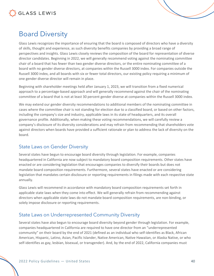

### Board Diversity

Glass Lewis recognizes the importance of ensuring that the board is composed of directors who have a diversity of skills, thought and experience, as such diversity benefits companies by providing a broad range of perspectives and insights. Glass Lewis closely reviews the composition of the board for representation of diverse director candidates. Beginning in 2022, we will generally recommend voting against the nominating committee chair of a board that has fewer than two gender diverse directors, or the entire nominating committee of a board with no gender diverse directors, at companies within the Russell 3000 index. For companies outside the Russell 3000 index, and all boards with six or fewer total directors, our existing policy requiring a minimum of one gender diverse director will remain in place.

Beginning with shareholder meetings held after January 1, 2023, we will transition from a fixed numerical approach to a percentage-based approach and will generally recommend against the chair of the nominating committee of a board that is not at least 30 percent gender diverse at companies within the Russell 3000 index.

We may extend our gender diversity recommendations to additional members of the nominating committee in cases where the committee chair is not standing for election due to a classified board, or based on other factors, including the company's size and industry, applicable laws in its state of headquarters, and its overall governance profile. Additionally, when making these voting recommendations, we will carefully review a company's disclosure of its diversity considerations and may refrain from recommending that shareholders vote against directors when boards have provided a sufficient rationale or plan to address the lack of diversity on the board.

#### State Laws on Gender Diversity

Several states have begun to encourage board diversity through legislation. For example, companies headquartered in California are now subject to mandatory board composition requirements. Other states have enacted or are considering legislation that encourages companies to diversify their boards but does not mandate board composition requirements. Furthermore, several states have enacted or are considering legislation that mandates certain disclosure or reporting requirements in filings made with each respective state annually.

Glass Lewis will recommend in accordance with mandatory board composition requirements set forth in applicable state laws when they come into effect. We will generally refrain from recommending against directors when applicable state laws do not mandate board composition requirements, are non-binding, or solely impose disclosure or reporting requirements.

#### State Laws on Underrepresented Community Diversity

Several states have also begun to encourage board diversity beyond gender through legislation. For example, companies headquartered in California are required to have one director from an "underrepresented community" on their board by the end of 2021 (defined as an individual who self-identifies as Black, African American, Hispanic, Latino, Asian, Pacific Islander, Native American, Native Hawaiian, or Alaska Native, or who self-identifies as gay, lesbian, bisexual, or transgender). And, by the end of 2022, California companies must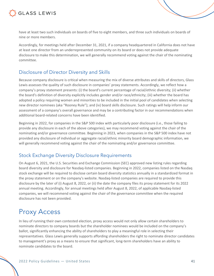

have at least two such individuals on boards of five to eight members, and three such individuals on boards of nine or more members.

Accordingly, for meetings held after December 31, 2021, if a company headquartered in California does not have at least one director from an underrepresented community on its board or does not provide adequate disclosure to make this determination, we will generally recommend voting against the chair of the nominating committee.

#### Disclosure of Director Diversity and Skills

Because company disclosure is critical when measuring the mix of diverse attributes and skills of directors, Glass Lewis assesses the quality of such disclosure in companies' proxy statements. Accordingly, we reflect how a company's proxy statement presents: (i) the board's current percentage of racial/ethnic diversity; (ii) whether the board's definition of diversity explicitly includes gender and/or race/ethnicity; (iii) whether the board has adopted a policy requiring women and minorities to be included in the initial pool of candidates when selecting new director nominees (aka "Rooney Rule"); and (iv) board skills disclosure. Such ratings will help inform our assessment of a company's overall governance and may be a contributing factor in our recommendations when additional board-related concerns have been identified.

Beginning in 2022, for companies in the S&P 500 index with particularly poor disclosure (i.e., those failing to provide any disclosure in each of the above categories), we may recommend voting against the chair of the nominating and/or governance committee. Beginning in 2023, when companies in the S&P 500 index have not provided any disclosure of individual or aggregate racial/ethnic minority board demographic information, we will generally recommend voting against the chair of the nominating and/or governance committee.

#### Stock Exchange Diversity Disclosure Requirements

On August 6, 2021, the U.S. Securities and Exchange Commission (SEC) approved new listing rules regarding board diversity and disclosure for Nasdaq-listed companies. Beginning in 2022, companies listed on the Nasdaq stock exchange will be required to disclose certain board diversity statistics annually in a standardized format in the proxy statement or on the company's website. Nasdaq-listed companies are required to provide this disclosure by the later of (i) August 8, 2022, or (ii) the date the company files its proxy statement for its 2022 annual meeting. Accordingly, for annual meetings held after August 8, 2022, of applicable Nasdaq-listed companies, we will recommend voting against the chair of the governance committee when the required disclosure has not been provided.

### Proxy Access

In lieu of running their own contested election, proxy access would not only allow certain shareholders to nominate directors to company boards but the shareholder nominees would be included on the company's ballot, significantly enhancing the ability of shareholders to play a meaningful role in selecting their representatives. Glass Lewis generally supports affording shareholders the right to nominate director candidates to management's proxy as a means to ensure that significant, long-term shareholders have an ability to nominate candidates to the board.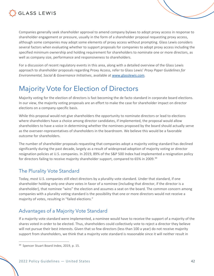

Companies generally seek shareholder approval to amend company bylaws to adopt proxy access in response to shareholder engagement or pressure, usually in the form of a shareholder proposal requesting proxy access, although some companies may adopt some elements of proxy access without prompting. Glass Lewis considers several factors when evaluating whether to support proposals for companies to adopt proxy access including the specified minimum ownership and holding requirement for shareholders to nominate one or more directors, as well as company size, performance and responsiveness to shareholders.

For a discussion of recent regulatory events in this area, along with a detailed overview of the Glass Lewis approach to shareholder proposals regarding Proxy Access, refer to Glass Lewis' *Proxy Paper Guidelines for Environmental, Social & Governance Initiatives*, available at www.glasslewis.com.

### Majority Vote for Election of Directors

Majority voting for the election of directors is fast becoming the de facto standard in corporate board elections. In our view, the majority voting proposals are an effort to make the case for shareholder impact on director elections on a company-specific basis.

While this proposal would not give shareholders the opportunity to nominate directors or lead to elections where shareholders have a choice among director candidates, if implemented, the proposal would allow shareholders to have a voice in determining whether the nominees proposed by the board should actually serve as the overseer-representatives of shareholders in the boardroom. We believe this would be a favorable outcome for shareholders.

The number of shareholder proposals requesting that companies adopt a majority voting standard has declined significantly during the past decade, largely as a result of widespread adoption of majority voting or director resignation policies at U.S. companies. In 2019, 89% of the S&P 500 Index had implemented a resignation policy for directors failing to receive majority shareholder support, compared to 65% in 2009.<sup>39</sup>

#### The Plurality Vote Standard

Today, most U.S. companies still elect directors by a plurality vote standard. Under that standard, if one shareholder holding only one share votes in favor of a nominee (including that director, if the director is a shareholder), that nominee "wins" the election and assumes a seat on the board. The common concern among companies with a plurality voting standard is the possibility that one or more directors would not receive a majority of votes, resulting in "failed elections."

#### Advantages of a Majority Vote Standard

If a majority vote standard were implemented, a nominee would have to receive the support of a majority of the shares voted in order to be elected. Thus, shareholders could collectively vote to reject a director they believe will not pursue their best interests. Given that so few directors (less than 100 a year) do not receive majority support from shareholders, we think that a majority vote standard is reasonable since it will neither result in

<sup>&</sup>lt;sup>39</sup> Spencer Stuart Board Index, 2019, p. 15.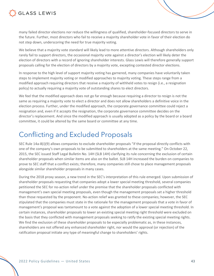

many failed director elections nor reduce the willingness of qualified, shareholder-focused directors to serve in the future. Further, most directors who fail to receive a majority shareholder vote in favor of their election do not step down, underscoring the need for true majority voting.

We believe that a majority vote standard will likely lead to more attentive directors. Although shareholders only rarely fail to support directors, the occasional majority vote against a director's election will likely deter the election of directors with a record of ignoring shareholder interests. Glass Lewis will therefore generally support proposals calling for the election of directors by a majority vote, excepting contested director elections.

In response to the high level of support majority voting has garnered, many companies have voluntarily taken steps to implement majority voting or modified approaches to majority voting. These steps range from a modified approach requiring directors that receive a majority of withheld votes to resign (i.e., a resignation policy) to actually requiring a majority vote of outstanding shares to elect directors.

We feel that the modified approach does not go far enough because requiring a director to resign is not the same as requiring a majority vote to elect a director and does not allow shareholders a definitive voice in the election process. Further, under the modified approach, the corporate governance committee could reject a resignation and, even if it accepts the resignation, the corporate governance committee decides on the director's replacement. And since the modified approach is usually adopted as a policy by the board or a board committee, it could be altered by the same board or committee at any time.

### Conflicting and Excluded Proposals

SEC Rule 14a-8(i)(9) allows companies to exclude shareholder proposals "if the proposal directly conflicts with one of the company's own proposals to be submitted to shareholders at the same meeting." On October 22, 2015, the SEC issued Staff Legal Bulletin No. 14H (SLB 14H) clarifying its rule concerning the exclusion of certain shareholder proposals when similar items are also on the ballot. SLB 14H increased the burden on companies to prove to SEC staff that a conflict exists; therefore, many companies still chose to place management proposals alongside similar shareholder proposals in many cases.

During the 2018 proxy season, a new trend in the SEC's interpretation of this rule emerged. Upon submission of shareholder proposals requesting that companies adopt a lower special meeting threshold, several companies petitioned the SEC for no-action relief under the premise that the shareholder proposals conflicted with management's own special meeting proposals, even though the management proposals set a higher threshold than those requested by the proponent. No-action relief was granted to these companies; however, the SEC stipulated that the companies must state in the rationale for the management proposals that a vote in favor of management's proposal was tantamount to a vote against the adoption of a lower special meeting threshold. In certain instances, shareholder proposals to lower an existing special meeting right threshold were excluded on the basis that they conflicted with management proposals seeking to ratify the existing special meeting rights. We find the exclusion of these shareholder proposals to be especially problematic as, in these instances, shareholders are not offered any enhanced shareholder right, nor would the approval (or rejection) of the ratification proposal initiate any type of meaningful change to shareholders' rights.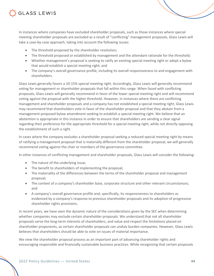

In instances where companies have excluded shareholder proposals, such as those instances where special meeting shareholder proposals are excluded as a result of "conflicting" management proposals, Glass Lewis will take a case-by-case approach, taking into account the following issues:

- The threshold proposed by the shareholder resolution;
- The threshold proposed or established by management and the attendant rationale for the threshold;
- Whether management's proposal is seeking to ratify an existing special meeting right or adopt a bylaw that would establish a special meeting right; and
- The company's overall governance profile, including its overall responsiveness to and engagement with shareholders.

Glass Lewis generally favors a 10-15% special meeting right. Accordingly, Glass Lewis will generally recommend voting for management or shareholder proposals that fall within this range. When faced with conflicting proposals, Glass Lewis will generally recommend in favor of the lower special meeting right and will recommend voting against the proposal with the higher threshold. However, in instances where there are conflicting management and shareholder proposals and a company has not established a special meeting right, Glass Lewis may recommend that shareholders vote in favor of the shareholder proposal and that they abstain from a management-proposed bylaw amendment seeking to establish a special meeting right. We believe that an abstention is appropriate in this instance in order to ensure that shareholders are sending a clear signal regarding their preference for the appropriate threshold for a special meeting right, while not directly opposing the establishment of such a right.

In cases where the company excludes a shareholder proposal seeking a reduced special meeting right by means of ratifying a management proposal that is materially different from the shareholder proposal, we will generally recommend voting against the chair or members of the governance committee.

In other instances of conflicting management and shareholder proposals, Glass Lewis will consider the following:

- The nature of the underlying issue;
- The benefit to shareholders of implementing the proposal;
- The materiality of the differences between the terms of the shareholder proposal and management proposal;
- The context of a company's shareholder base, corporate structure and other relevant circumstances; and
- A company's overall governance profile and, specifically, its responsiveness to shareholders as evidenced by a company's response to previous shareholder proposals and its adoption of progressive shareholder rights provisions.

In recent years, we have seen the dynamic nature of the considerations given by the SEC when determining whether companies may exclude certain shareholder proposals. We understand that not all shareholder proposals serve the long-term interests of shareholders, and value and respect the limitations placed on shareholder proponents, as certain shareholder proposals can unduly burden companies. However, Glass Lewis believes that shareholders should be able to vote on issues of material importance.

We view the shareholder proposal process as an important part of advancing shareholder rights and encouraging responsible and financially sustainable business practices. While recognizing that certain proposals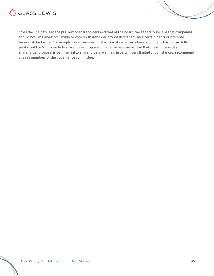

cross the line between the purview of shareholders and that of the board, we generally believe that companies should not limit investors' ability to vote on shareholder proposals that advance certain rights or promote beneficial disclosure. Accordingly, Glass Lewis will make note of instances where a company has successfully petitioned the SEC to exclude shareholder proposals. If after review we believe that the exclusion of a shareholder proposal is detrimental to shareholders, we may, in certain very limited circumstances, recommend against members of the governance committee.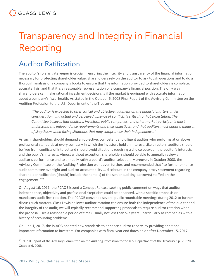# Transparency and Integrity in Financial Reporting

### Auditor Ratification

The auditor's role as gatekeeper is crucial in ensuring the integrity and transparency of the financial information necessary for protecting shareholder value. Shareholders rely on the auditor to ask tough questions and to do a thorough analysis of a company's books to ensure that the information provided to shareholders is complete, accurate, fair, and that it is a reasonable representation of a company's financial position. The only way shareholders can make rational investment decisions is if the market is equipped with accurate information about a company's fiscal health. As stated in the October 6, 2008 Final Report of the Advisory Committee on the Auditing Profession to the U.S. Department of the Treasury:

*"The auditor is expected to offer critical and objective judgment on the financial matters under consideration, and actual and perceived absence of conflicts is critical to that expectation. The Committee believes that auditors, investors, public companies, and other market participants must understand the independence requirements and their objectives, and that auditors must adopt a mindset of skepticism when facing situations that may compromise their independence."* 

As such, shareholders should demand an objective, competent and diligent auditor who performs at or above professional standards at every company in which the investors hold an interest. Like directors, auditors should be free from conflicts of interest and should avoid situations requiring a choice between the auditor's interests and the public's interests. Almost without exception, shareholders should be able to annually review an auditor's performance and to annually ratify a board's auditor selection. Moreover, in October 2008, the Advisory Committee on the Auditing Profession went even further, and recommended that "to further enhance audit committee oversight and auditor accountability ... disclosure in the company proxy statement regarding shareholder ratification [should] include the name(s) of the senior auditing partner(s) staffed on the engagement."<sup>40</sup>

On August 16, 2011, the PCAOB issued a Concept Release seeking public comment on ways that auditor independence, objectivity and professional skepticism could be enhanced, with a specific emphasis on mandatory audit firm rotation. The PCAOB convened several public roundtable meetings during 2012 to further discuss such matters. Glass Lewis believes auditor rotation can ensure both the independence of the auditor and the integrity of the audit; we will typically recommend supporting proposals to require auditor rotation when the proposal uses a reasonable period of time (usually not less than 5-7 years), particularly at companies with a history of accounting problems.

On June 1, 2017, the PCAOB adopted new standards to enhance auditor reports by providing additional important information to investors. For companies with fiscal year end dates on or after December 15, 2017,

<sup>40</sup> "Final Report of the Advisory Committee on the Auditing Profession to the U.S. Department of the Treasury." p. VIII:20, October 6, 2008.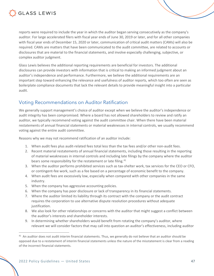

reports were required to include the year in which the auditor began serving consecutively as the company's auditor. For large accelerated filers with fiscal year ends of June 30, 2019 or later, and for all other companies with fiscal year ends of December 15, 2020 or later, communication of critical audit matters (CAMs) will also be required. CAMs are matters that have been communicated to the audit committee, are related to accounts or disclosures that are material to the financial statements, and involve especially challenging, subjective, or complex auditor judgment.

Glass Lewis believes the additional reporting requirements are beneficial for investors. The additional disclosures can provide investors with information that is critical to making an informed judgment about an auditor's independence and performance. Furthermore, we believe the additional requirements are an important step toward enhancing the relevance and usefulness of auditor reports, which too often are seen as boilerplate compliance documents that lack the relevant details to provide meaningful insight into a particular audit.

#### Voting Recommendations on Auditor Ratification

We generally support management's choice of auditor except when we believe the auditor's independence or audit integrity has been compromised. Where a board has not allowed shareholders to review and ratify an auditor, we typically recommend voting against the audit committee chair. When there have been material restatements of annual financial statements or material weaknesses in internal controls, we usually recommend voting against the entire audit committee.

Reasons why we may not recommend ratification of an auditor include:

- 1. When audit fees plus audit-related fees total less than the tax fees and/or other non-audit fees.
- 2. Recent material restatements of annual financial statements, including those resulting in the reporting of material weaknesses in internal controls and including late filings by the company where the auditor bears some responsibility for the restatement or late filing.<sup>41</sup>
- 3. When the auditor performs prohibited services such as tax-shelter work, tax services for the CEO or CFO, or contingent-fee work, such as a fee based on a percentage of economic benefit to the company.
- 4. When audit fees are excessively low, especially when compared with other companies in the same industry.
- 5. When the company has aggressive accounting policies.
- 6. When the company has poor disclosure or lack of transparency in its financial statements.
- 7. Where the auditor limited its liability through its contract with the company or the audit contract requires the corporation to use alternative dispute resolution procedures without adequate justification.
- 8. We also look for other relationships or concerns with the auditor that might suggest a conflict between the auditor's interests and shareholder interests.
- 9. In determining whether shareholders would benefit from rotating the company's auditor, where relevant we will consider factors that may call into question an auditor's effectiveness, including auditor

 $41$  An auditor does not audit interim financial statements. Thus, we generally do not believe that an auditor should be opposed due to a restatement of interim financial statements unless the nature of the misstatement is clear from a reading of the incorrect financial statements.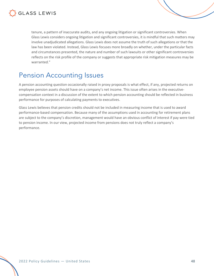

tenure, a pattern of inaccurate audits, and any ongoing litigation or significant controversies. When Glass Lewis considers ongoing litigation and significant controversies, it is mindful that such matters may involve unadjudicated allegations. Glass Lewis does not assume the truth of such allegations or that the law has been violated. Instead, Glass Lewis focuses more broadly on whether, under the particular facts and circumstances presented, the nature and number of such lawsuits or other significant controversies reflects on the risk profile of the company or suggests that appropriate risk mitigation measures may be warranted."

### Pension Accounting Issues

A pension accounting question occasionally raised in proxy proposals is what effect, if any, projected returns on employee pension assets should have on a company's net income. This issue often arises in the executivecompensation context in a discussion of the extent to which pension accounting should be reflected in business performance for purposes of calculating payments to executives.

Glass Lewis believes that pension credits should not be included in measuring income that is used to award performance-based compensation. Because many of the assumptions used in accounting for retirement plans are subject to the company's discretion, management would have an obvious conflict of interest if pay were tied to pension income. In our view, projected income from pensions does not truly reflect a company's performance.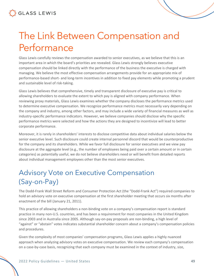**GLASS LEWIS** 

# The Link Between Compensation and Performance

Glass Lewis carefully reviews the compensation awarded to senior executives, as we believe that this is an important area in which the board's priorities are revealed. Glass Lewis strongly believes executive compensation should be linked directly with the performance of the business the executive is charged with managing. We believe the most effective compensation arrangements provide for an appropriate mix of performance-based short- and long-term incentives in addition to fixed pay elements while promoting a prudent and sustainable level of risk-taking.

Glass Lewis believes that comprehensive, timely and transparent disclosure of executive pay is critical to allowing shareholders to evaluate the extent to which pay is aligned with company performance. When reviewing proxy materials, Glass Lewis examines whether the company discloses the performance metrics used to determine executive compensation. We recognize performance metrics must necessarily vary depending on the company and industry, among other factors, and may include a wide variety of financial measures as well as industry-specific performance indicators. However, we believe companies should disclose why the specific performance metrics were selected and how the actions they are designed to incentivize will lead to better corporate performance.

Moreover, it is rarely in shareholders' interests to disclose competitive data about individual salaries below the senior executive level. Such disclosure could create internal personnel discord that would be counterproductive for the company and its shareholders. While we favor full disclosure for senior executives and we view pay disclosure at the aggregate level (e.g., the number of employees being paid over a certain amount or in certain categories) as potentially useful, we do not believe shareholders need or will benefit from detailed reports about individual management employees other than the most senior executives.

## Advisory Vote on Executive Compensation (Say-on-Pay)

The Dodd-Frank Wall Street Reform and Consumer Protection Act (the "Dodd-Frank Act") required companies to hold an advisory vote on executive compensation at the first shareholder meeting that occurs six months after enactment of the bill (January 21, 2011).

This practice of allowing shareholders a non-binding vote on a company's compensation report is standard practice in many non-U.S. countries, and has been a requirement for most companies in the United Kingdom since 2003 and in Australia since 2005. Although say-on-pay proposals are non-binding, a high level of "against" or "abstain" votes indicates substantial shareholder concern about a company's compensation policies and procedures.

Given the complexity of most companies' compensation programs, Glass Lewis applies a highly nuanced approach when analyzing advisory votes on executive compensation. We review each company's compensation on a case-by-case basis, recognizing that each company must be examined in the context of industry, size,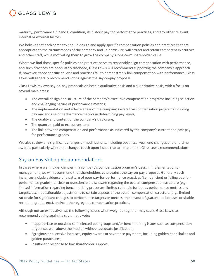

maturity, performance, financial condition, its historic pay for performance practices, and any other relevant internal or external factors.

We believe that each company should design and apply specific compensation policies and practices that are appropriate to the circumstances of the company and, in particular, will attract and retain competent executives and other staff, while motivating them to grow the company's long-term shareholder value.

Where we find those specific policies and practices serve to reasonably align compensation with performance, and such practices are adequately disclosed, Glass Lewis will recommend supporting the company's approach. If, however, those specific policies and practices fail to demonstrably link compensation with performance, Glass Lewis will generally recommend voting against the say-on-pay proposal.

Glass Lewis reviews say-on-pay proposals on both a qualitative basis and a quantitative basis, with a focus on several main areas:

- The overall design and structure of the company's executive compensation programs including selection and challenging nature of performance metrics;
- The implementation and effectiveness of the company's executive compensation programs including pay mix and use of performance metrics in determining pay levels;
- The quality and content of the company's disclosure;
- The quantum paid to executives; and
- The link between compensation and performance as indicated by the company's current and past payfor-performance grades.

We also review any significant changes or modifications, including post fiscal year-end changes and one-time awards, particularly where the changes touch upon issues that are material to Glass Lewis recommendations.

#### Say-on-Pay Voting Recommendations

In cases where we find deficiencies in a company's compensation program's design, implementation or management, we will recommend that shareholders vote against the say-on-pay proposal. Generally such instances include evidence of a pattern of poor pay-for-performance practices (i.e., deficient or failing pay-forperformance grades), unclear or questionable disclosure regarding the overall compensation structure (e.g., limited information regarding benchmarking processes, limited rationale for bonus performance metrics and targets, etc.), questionable adjustments to certain aspects of the overall compensation structure (e.g., limited rationale for significant changes to performance targets or metrics, the payout of guaranteed bonuses or sizable retention grants, etc.), and/or other egregious compensation practices.

Although not an exhaustive list, the following issues when weighed together may cause Glass Lewis to recommend voting against a say-on-pay vote:

- Inappropriate or outsized self-selected peer groups and/or benchmarking issues such as compensation targets set well above the median without adequate justification;
- Egregious or excessive bonuses, equity awards or severance payments, including golden handshakes and golden parachutes;
- Insufficient response to low shareholder support;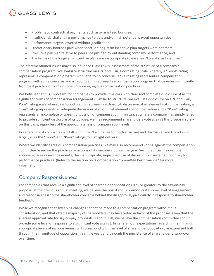### **GLASS LEWIS**

- Problematic contractual payments, such as guaranteed bonuses;
- Insufficiently challenging performance targets and/or high potential payout opportunities;
- Performance targets lowered without justification;
- Discretionary bonuses paid when short- or long-term incentive plan targets were not met;
- Executive pay high relative to peers not justified by outstanding company performance; and
- The terms of the long-term incentive plans are inappropriate (please see "Long-Term Incentives").

The aforementioned issues may also influence Glass Lewis' assessment of the structure of a company's compensation program. We evaluate structure on a "Good, Fair, Poor" rating scale whereby a "Good" rating represents a compensation program with little to no concerns, a "Fair" rating represents a compensation program with some concerns and a "Poor" rating represents a compensation program that deviates significantly from best practice or contains one or more egregious compensation practices.

We believe that it is important for companies to provide investors with clear and complete disclosure of all the significant terms of compensation arrangements. Similar to structure, we evaluate disclosure on a "Good, Fair, Poor" rating scale whereby a "Good" rating represents a thorough discussion of all elements of compensation, a "Fair" rating represents an adequate discussion of all or most elements of compensation and a "Poor" rating represents an incomplete or absent discussion of compensation. In instances where a company has simply failed to provide sufficient disclosure of its policies, we may recommend shareholders vote against this proposal solely on this basis, regardless of the appropriateness of compensation levels.

In general, most companies will fall within the "Fair" range for both structure and disclosure, and Glass Lewis largely uses the "Good" and "Poor" ratings to highlight outliers.

Where we identify egregious compensation practices, we may also recommend voting against the compensation committee based on the practices or actions of its members during the year. Such practices may include: approving large one-off payments, the inappropriate, unjustified use of discretion, or sustained poor pay for performance practices. (Refer to the section on "Compensation Committee Performance" for more information.)

#### Company Responsiveness

For companies that receive a significant level of shareholder opposition (20% or greater) to the say-on-pay proposal at the previous annual meeting, we believe the board should demonstrate some level of engagement and responsiveness to the shareholder concerns behind the disapproval, particularly in response to shareholder feedback.

While we recognize that sweeping changes cannot be made to a compensation program without due consideration, and that often a majority of shareholders may have voted in favor of the proposal, given that the average approval rate for say-on-pay proposals is about 90%, we believe the compensation committee should provide some level of response to a significant vote against. In general, our expectations regarding the minimum appropriate levels of responsiveness will correspond with the level of shareholder opposition, as expressed both through the magnitude of opposition in a single year, and through the persistence of shareholder disapproval over time.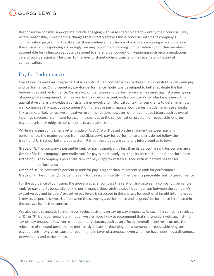

Responses we consider appropriate include engaging with large shareholders to identify their concerns, and, where reasonable, implementing changes that directly address those concerns within the company's compensation program. In the absence of any evidence that the board is actively engaging shareholders on these issues and responding accordingly, we may recommend holding compensation committee members accountable for failing to adequately respond to shareholder opposition. Regarding such recommendations, careful consideration will be given to the level of shareholder protest and the severity and history of compensation.

#### Pay for Performance

Glass Lewis believes an integral part of a well-structured compensation package is a successful link between pay and performance. Our proprietary pay-for-performance model was developed to better evaluate the link between pay and performance. Generally, compensation and performance are measured against a peer group of appropriate companies that may overlap, to a certain extent, with a company's self-disclosed peers. This quantitative analysis provides a consistent framework and historical context for our clients to determine how well companies link executive compensation to relative performance. Companies that demonstrate a weaker link are more likely to receive a negative recommendation; however, other qualitative factors such as overall incentive structure, significant forthcoming changes to the compensation program or reasonable long-term payout levels may mitigate our concerns to a certain extent.

While we assign companies a letter grade of A, B, C, D or F based on the alignment between pay and performance, the grades derived from the Glass Lewis pay-for-performance analysis do not follow the traditional U.S. school letter grade system. Rather, the grades are generally interpreted as follows:

**Grade of A**: The company's percentile rank for pay is significantly less than its percentile rank for performance **Grade of B**: The company's percentile rank for pay is moderately less than its percentile rank for performance **Grade of C**: The company's percentile rank for pay is approximately aligned with its percentile rank for performance

**Grade of D**: The company's percentile rank for pay is higher than its percentile rank for performance **Grade of F**: The company's percentile rank for pay is significantly higher than its percentile rank for performance

For the avoidance of confusion, the above grades encompass the relationship between a company's percentile rank for pay and its percentile rank in performance. Separately, a specific comparison between the company's executive pay and its peers' executive pay levels is discussed in the analysis for additional insight into the grade. Likewise, a specific comparison between the company's performance and its peers' performance is reflected in the analysis for further context.

We also use this analysis to inform our voting decisions on say-on-pay proposals. As such, if a company receives a "D" or "F" from our proprietary model, we are more likely to recommend that shareholders vote against the say-on-pay proposal. However, other qualitative factors such as an effective overall incentive structure, the relevance of selected performance metrics, significant forthcoming enhancements or reasonable long-term payout levels may give us cause to recommend in favor of a proposal even when we have identified a disconnect between pay and performance.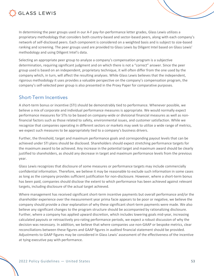

In determining the peer groups used in our A-F pay-for-performance letter grades, Glass Lewis utilizes a proprietary methodology that considers both country-based and sector-based peers, along with each company's network of self-disclosed peers. Each component is considered on a weighted basis and is subject to size-based ranking and screening. The peer groups used are provided to Glass Lewis by Diligent Intel based on Glass Lewis' methodology and using Diligent Intel's data.

Selecting an appropriate peer group to analyze a company's compensation program is a subjective determination, requiring significant judgment and on which there is not a "correct" answer. Since the peer group used is based on an independent, proprietary technique, it will often differ from the one used by the company which, in turn, will affect the resulting analyses. While Glass Lewis believes that the independent, rigorous methodology it uses provides a valuable perspective on the company's compensation program, the company's self-selected peer group is also presented in the Proxy Paper for comparative purposes.

#### Short-Term Incentives

A short-term bonus or incentive (STI) should be demonstrably tied to performance. Whenever possible, we believe a mix of corporate and individual performance measures is appropriate. We would normally expect performance measures for STIs to be based on company-wide or divisional financial measures as well as nonfinancial factors such as those related to safety, environmental issues, and customer satisfaction. While we recognize that companies operating in different sectors or markets may seek to utilize a wide range of metrics, we expect such measures to be appropriately tied to a company's business drivers.

Further, the threshold, target and maximum performance goals and corresponding payout levels that can be achieved under STI plans should be disclosed. Shareholders should expect stretching performance targets for the maximum award to be achieved. Any increase in the potential target and maximum award should be clearly justified to shareholders, as should any decrease in target and maximum performance levels from the previous year.

Glass Lewis recognizes that disclosure of some measures or performance targets may include commercially confidential information. Therefore, we believe it may be reasonable to exclude such information in some cases as long as the company provides sufficient justification for non-disclosure. However, where a short-term bonus has been paid, companies should disclose the extent to which performance has been achieved against relevant targets, including disclosure of the actual target achieved.

Where management has received significant short-term incentive payments but overall performance and/or the shareholder experience over the measurement year prima facie appears to be poor or negative, we believe the company should provide a clear explanation of why these significant short-term payments were made. We also believe any significant changes to the program structure should be accompanied by rationalizing disclosure. Further, where a company has applied upward discretion, which includes lowering goals mid-year, increasing calculated payouts or retroactively pro-rating performance periods, we expect a robust discussion of why the decision was necessary. In addition, we believe that where companies use non-GAAP or bespoke metrics, clear reconciliations between these figures and GAAP figures in audited financial statement should be provided. Adjustments to GAAP figures may be considered in Glass Lewis' assessment of the effectiveness of the incentive at tying executive pay with performance.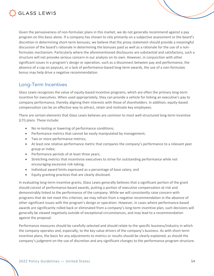

Given the pervasiveness of non-formulaic plans in this market, we do not generally recommend against a pay program on this basis alone. If a company has chosen to rely primarily on a subjective assessment or the board's discretion in determining short-term bonuses, we believe that the proxy statement should provide a meaningful discussion of the board's rationale in determining the bonuses paid as well as a rationale for the use of a nonformulaic mechanism. Particularly where the aforementioned disclosures are substantial and satisfactory, such a structure will not provoke serious concern in our analysis on its own. However, in conjunction with other significant issues in a program's design or operation, such as a disconnect between pay and performance, the absence of a cap on payouts, or a lack of performance-based long-term awards, the use of a non-formulaic bonus may help drive a negative recommendation.

#### Long-Term Incentives

Glass Lewis recognizes the value of equity-based incentive programs, which are often the primary long-term incentive for executives. When used appropriately, they can provide a vehicle for linking an executive's pay to company performance, thereby aligning their interests with those of shareholders. In addition, equity-based compensation can be an effective way to attract, retain and motivate key employees.

There are certain elements that Glass Lewis believes are common to most well-structured long-term incentive (LTI) plans. These include:

- No re-testing or lowering of performance conditions;
- Performance metrics that cannot be easily manipulated by management;
- Two or more performance metrics;
- At least one relative performance metric that compares the company's performance to a relevant peer group or index;
- Performance periods of at least three years;
- Stretching metrics that incentivize executives to strive for outstanding performance while not encouraging excessive risk-taking;
- Individual award limits expressed as a percentage of base salary; and
- Equity granting practices that are clearly disclosed.

In evaluating long-term incentive grants, Glass Lewis generally believes that a significant portion of the grant should consist of performance-based awards, putting a portion of executive compensation at-risk and demonstrably linked to the performance of the company. While we will consistently raise concern with programs that do not meet this criterion, we may refrain from a negative recommendation in the absence of other significant issues with the program's design or operation. However, in cases where performance-based awards are significantly rolled back or eliminated from a company's long-term incentive plan, such decisions will generally be viewed negatively outside of exceptional circumstances, and may lead to a recommendation against the proposal.

Performance measures should be carefully selected and should relate to the specific business/industry in which the company operates and, especially, to the key value drivers of the company's business. As with short-term incentive plans, the basis for any adjustments to metrics or results should be clearly explained, as should the company's judgment on the use of discretion and any significant changes to the performance program structure.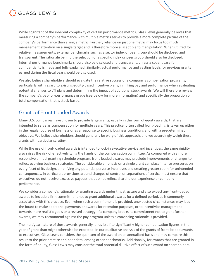

While cognizant of the inherent complexity of certain performance metrics, Glass Lewis generally believes that measuring a company's performance with multiple metrics serves to provide a more complete picture of the company's performance than a single metric. Further, reliance on just one metric may focus too much management attention on a single target and is therefore more susceptible to manipulation. When utilized for relative measurements, external benchmarks such as a sector index or peer group should be disclosed and transparent. The rationale behind the selection of a specific index or peer group should also be disclosed. Internal performance benchmarks should also be disclosed and transparent, unless a cogent case for confidentiality is made and fully explained. Similarly, actual performance and vesting levels for previous grants earned during the fiscal year should be disclosed.

We also believe shareholders should evaluate the relative success of a company's compensation programs, particularly with regard to existing equity-based incentive plans, in linking pay and performance when evaluating potential changes to LTI plans and determining the impact of additional stock awards. We will therefore review the company's pay-for-performance grade (see below for more information) and specifically the proportion of total compensation that is stock-based.

#### Grants of Front-Loaded Awards

Many U.S. companies have chosen to provide large grants, usually in the form of equity awards, that are intended to serve as compensation for multiple years. This practice, often called front-loading, is taken up either in the regular course of business or as a response to specific business conditions and with a predetermined objective. We believe shareholders should generally be wary of this approach, and we accordingly weigh these grants with particular scrutiny.

While the use of front-loaded awards is intended to lock-in executive service and incentives, the same rigidity also raises the risk of effectively tying the hands of the compensation committee. As compared with a more responsive annual granting schedule program, front-loaded awards may preclude improvements or changes to reflect evolving business strategies. The considerable emphasis on a single grant can place intense pressures on every facet of its design, amplifying any potential perverse incentives and creating greater room for unintended consequences. In particular, provisions around changes of control or separations of service must ensure that executives do not receive excessive payouts that do not reflect shareholder experience or company performance.

We consider a company's rationale for granting awards under this structure and also expect any front-loaded awards to include a firm commitment not to grant additional awards for a defined period, as is commonly associated with this practice. Even when such a commitment is provided, unexpected circumstances may lead the board to make additional payments or awards for retention purposes, or to incentivize management towards more realistic goals or a revised strategy. If a company breaks its commitment not to grant further awards, we may recommend against the pay program unless a convincing rationale is provided.

The multiyear nature of these awards generally lends itself to significantly higher compensation figures in the year of grant than might otherwise be expected. In our qualitative analysis of the grants of front-loaded awards to executives, Glass Lewis considers the quantum of the award on an annualized basis and may compare this result to the prior practice and peer data, among other benchmarks. Additionally, for awards that are granted in the form of equity, Glass Lewis may consider the total potential dilutive effect of such award on shareholders.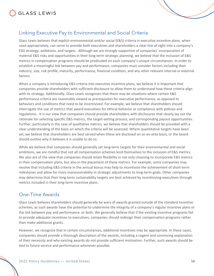

#### Linking Executive Pay to Environmental and Social Criteria

Glass Lewis believes that explicit environmental and/or social (E&S) criteria in executive incentive plans, when used appropriately, can serve to provide both executives and shareholders a clear line of sight into a company's ESG strategy, ambitions, and targets. Although we are strongly supportive of companies' incorporation of material E&S risks and opportunities in their long-term strategic planning, we believe that the inclusion of E&S metrics in compensation programs should be predicated on each company's unique circumstances. In order to establish a meaningful link between pay and performance, companies must consider factors including their industry, size, risk profile, maturity, performance, financial condition, and any other relevant internal or external factors.

When a company is introducing E&S criteria into executive incentive plans, we believe it is important that companies provide shareholders with sufficient disclosure to allow them to understand how these criteria align with its strategy. Additionally, Glass Lewis recognizes that there may be situations where certain E&S performance criteria are reasonably viewed as prerequisites for executive performance, as opposed to behaviors and conditions that need to be incentivized. For example, we believe that shareholders should interrogate the use of metrics that award executives for ethical behavior or compliance with policies and regulations. It is our view that companies should provide shareholders with disclosures that clearly lay out the rationale for selecting specific E&S metrics, the target-setting process, and corresponding payout opportunities. Further, particularly in the case of qualitative metrics, we believe that shareholders should be provided with a clear understanding of the basis on which the criteria will be assessed. Where quantitative targets have been set, we believe that shareholders are best served when these are disclosed on an ex-ante basis, or the board should outline why it believes it is unable to do so.

While we believe that companies should generally set long-term targets for their environmental and social ambitions, we are mindful that not all compensation schemes lend themselves to the inclusion of E&S metrics. We also are of the view that companies should retain flexibility in not only choosing to incorporate E&S metrics in their compensation plans, but also in the placement of these metrics. For example, some companies may resolve that including E&S criteria in the annual bonus may help to incentivize the achievement of short-term milestones and allow for more maneuverability in strategic adjustments to long-term goals. Other companies may determine that their long-term sustainability targets are best achieved by incentivizing executives through metrics included in their long-term incentive plans.

#### One-Time Awards

Glass Lewis believes shareholders should generally be wary of awards granted outside of the standard incentive schemes, as such awards have the potential to undermine the integrity of a company's regular incentive plans or the link between pay and performance, or both. We generally believe that if the existing incentive programs fail to provide adequate incentives to executives, companies should redesign their compensation programs rather than make additional grants.

However, we recognize that in certain circumstances, additional incentives may be appropriate. In these cases, companies should provide a thorough description of the awards, including a cogent and convincing explanation of their necessity and why existing awards do not provide sufficient motivation. Further, such awards should be tied to future service and performance whenever possible.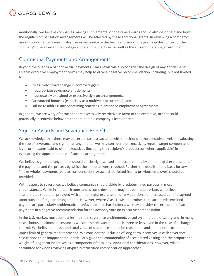

Additionally, we believe companies making supplemental or one-time awards should also describe if and how the regular compensation arrangements will be affected by these additional grants. In reviewing a company's use of supplemental awards, Glass Lewis will evaluate the terms and size of the grants in the context of the company's overall incentive strategy and granting practices, as well as the current operating environment.

#### Contractual Payments and Arrangements

Beyond the quantum of contractual payments, Glass Lewis will also consider the design of any entitlements. Certain executive employment terms may help to drive a negative recommendation, including, but not limited to:

- Excessively broad change in control triggers;
- Inappropriate severance entitlements;
- Inadequately explained or excessive sign-on arrangements;
- Guaranteed bonuses (especially as a multiyear occurrence); and
- Failure to address any concerning practices in amended employment agreements.

In general, we are wary of terms that are excessively restrictive in favor of the executive, or that could potentially incentivize behaviors that are not in a company's best interest.

#### Sign-on Awards and Severance Benefits

We acknowledge that there may be certain costs associated with transitions at the executive level. In evaluating the size of severance and sign-on arrangements, we may consider the executive's regular target compensation level, or the sums paid to other executives (including the recipient's predecessor, where applicable) in evaluating the appropriateness of such an arrangement.

We believe sign-on arrangements should be clearly disclosed and accompanied by a meaningful explanation of the payments and the process by which the amounts were reached. Further, the details of and basis for any "make-whole" payments (paid as compensation for awards forfeited from a previous employer) should be provided.

With respect to severance, we believe companies should abide by predetermined payouts in most circumstances. While in limited circumstances some deviations may not be inappropriate, we believe shareholders should be provided with a meaningful explanation of any additional or increased benefits agreed upon outside of regular arrangements. However, where Glass Lewis determines that such predetermined payouts are particularly problematic or unfavorable to shareholders, we may consider the execution of such payments in a negative recommendation for the advisory vote on executive compensation.

In the U.S. market, most companies maintain severance entitlements based on a multiple of salary and, in many cases, bonus. In almost all instances we see, the relevant multiple is three or less, even in the case of a change in control. We believe the basis and total value of severance should be reasonable and should not exceed the upper limit of general market practice. We consider the inclusion of long-term incentives in cash severance calculations to be inappropriate, particularly given the commonality of accelerated vesting and the proportional weight of long-term incentives as a component of total pay. Additional considerations, however, will be accounted for when reviewing atypically structured compensation approaches.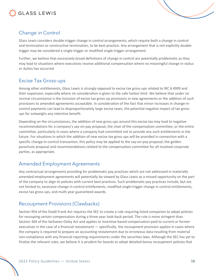

#### Change in Control

Glass Lewis considers double-trigger change in control arrangements, which require both a change in control and termination or constructive termination, to be best practice. Any arrangement that is not explicitly doubletrigger may be considered a single-trigger or modified single-trigger arrangement.

Further, we believe that excessively broad definitions of change in control are potentially problematic as they may lead to situations where executives receive additional compensation where no meaningful change in status or duties has occurred.

#### Excise Tax Gross-ups

Among other entitlements, Glass Lewis is strongly opposed to excise tax gross-ups related to IRC § 4999 and their expansion, especially where no consideration is given to the safe harbor limit. We believe that under no normal circumstance is the inclusion of excise tax gross-up provisions in new agreements or the addition of such provisions to amended agreements acceptable. In consideration of the fact that minor increases in change-incontrol payments can lead to disproportionately large excise taxes, the potential negative impact of tax grossups far outweighs any retentive benefit.

Depending on the circumstances, the addition of new gross-ups around this excise tax may lead to negative recommendations for a company's say-on-pay proposal, the chair of the compensation committee, or the entire committee, particularly in cases where a company had committed not to provide any such entitlements in the future. For situations in which the addition of new excise tax gross ups will be provided in connection with a specific change-in-control transaction, this policy may be applied to the say-on-pay proposal, the golden parachute proposal and recommendations related to the compensation committee for all involved corporate parties, as appropriate.

#### Amended Employment Agreements

Any contractual arrangements providing for problematic pay practices which are not addressed in materially amended employment agreements will potentially be viewed by Glass Lewis as a missed opportunity on the part of the company to align its policies with current best practices. Such problematic pay practices include, but are not limited to, excessive change in control entitlements, modified single-trigger change in control entitlements, excise tax gross-ups, and multi-year guaranteed awards.

#### Recoupment Provisions (Clawbacks)

Section 954 of the Dodd-Frank Act requires the SEC to create a rule requiring listed companies to adopt policies for recouping certain compensation during a three-year look-back period. The rule is more stringent than Section 304 of the Sarbanes-Oxley Act and applies to incentive-based compensation paid to current or former executives in the case of a financial restatement — specifically, the recoupment provision applies in cases where the company is required to prepare an accounting restatement due to erroneous data resulting from material non-compliance with any financial reporting requirements under the securities laws. Although the SEC has yet to finalize the relevant rules, we believe it is prudent for boards to adopt detailed bonus recoupment policies that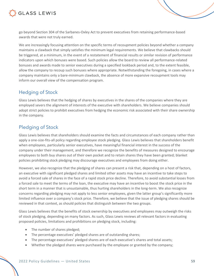

go beyond Section 304 of the Sarbanes-Oxley Act to prevent executives from retaining performance-based awards that were not truly earned.

We are increasingly focusing attention on the specific terms of recoupment policies beyond whether a company maintains a clawback that simply satisfies the minimum legal requirements. We believe that clawbacks should be triggered, at a minimum, in the event of a restatement of financial results or similar revision of performance indicators upon which bonuses were based. Such policies allow the board to review all performance-related bonuses and awards made to senior executives during a specified lookback period and, to the extent feasible, allow the company to recoup such bonuses where appropriate. Notwithstanding the foregoing, in cases where a company maintains only a bare-minimum clawback, the absence of more expansive recoupment tools may inform our overall view of the compensation program.

#### Hedging of Stock

Glass Lewis believes that the hedging of shares by executives in the shares of the companies where they are employed severs the alignment of interests of the executive with shareholders. We believe companies should adopt strict policies to prohibit executives from hedging the economic risk associated with their share ownership in the company.

#### Pledging of Stock

Glass Lewis believes that shareholders should examine the facts and circumstances of each company rather than apply a one-size-fits-all policy regarding employee stock pledging. Glass Lewis believes that shareholders benefit when employees, particularly senior executives, have meaningful financial interest in the success of the company under their management, and therefore we recognize the benefits of measures designed to encourage employees to both buy shares out of their own pocket and to retain shares they have been granted; blanket policies prohibiting stock pledging may discourage executives and employees from doing either.

However, we also recognize that the pledging of shares can present a risk that, depending on a host of factors, an executive with significant pledged shares and limited other assets may have an incentive to take steps to avoid a forced sale of shares in the face of a rapid stock price decline. Therefore, to avoid substantial losses from a forced sale to meet the terms of the loan, the executive may have an incentive to boost the stock price in the short term in a manner that is unsustainable, thus hurting shareholders in the long-term. We also recognize concerns regarding pledging may not apply to less senior employees, given the latter group's significantly more limited influence over a company's stock price. Therefore, we believe that the issue of pledging shares should be reviewed in that context, as should policies that distinguish between the two groups.

Glass Lewis believes that the benefits of stock ownership by executives and employees may outweigh the risks of stock pledging, depending on many factors. As such, Glass Lewis reviews all relevant factors in evaluating proposed policies, limitations and prohibitions on pledging stock, including:

- The number of shares pledged;
- The percentage executives' pledged shares are of outstanding shares;
- The percentage executives' pledged shares are of each executive's shares and total assets;
- Whether the pledged shares were purchased by the employee or granted by the company;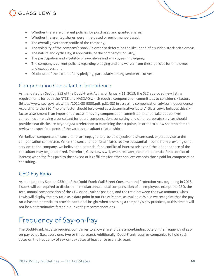### **GLASS LEWIS**

- Whether there are different policies for purchased and granted shares;
- Whether the granted shares were time-based or performance-based;
- The overall governance profile of the company;
- The volatility of the company's stock (in order to determine the likelihood of a sudden stock price drop);
- The nature and cyclicality, if applicable, of the company's industry;
- The participation and eligibility of executives and employees in pledging;
- The company's current policies regarding pledging and any waiver from these policies for employees and executives; and
- Disclosure of the extent of any pledging, particularly among senior executives.

#### Compensation Consultant Independence

As mandated by Section 952 of the Dodd-Frank Act, as of January 11, 2013, the SEC approved new listing requirements for both the NYSE and NASDAQ which require compensation committees to consider six factors (https://www.sec.gov/rules/final/2012/33-9330.pdf, p.31-32) in assessing compensation advisor independence. According to the SEC, "no one factor should be viewed as a determinative factor." Glass Lewis believes this sixfactor assessment is an important process for every compensation committee to undertake but believes companies employing a consultant for board compensation, consulting and other corporate services should provide clear disclosure beyond just a reference to examining the six points, in order to allow shareholders to review the specific aspects of the various consultant relationships.

We believe compensation consultants are engaged to provide objective, disinterested, expert advice to the compensation committee. When the consultant or its affiliates receive substantial income from providing other services to the company, we believe the potential for a conflict of interest arises and the independence of the consultant may be jeopardized. Therefore, Glass Lewis will, when relevant, note the potential for a conflict of interest when the fees paid to the advisor or its affiliates for other services exceeds those paid for compensation consulting.

### CEO Pay Ratio

As mandated by Section 953(b) of the Dodd-Frank Wall Street Consumer and Protection Act, beginning in 2018, issuers will be required to disclose the median annual total compensation of all employees except the CEO, the total annual compensation of the CEO or equivalent position, and the ratio between the two amounts. Glass Lewis will display the pay ratio as a data point in our Proxy Papers, as available. While we recognize that the pay ratio has the potential to provide additional insight when assessing a company's pay practices, at this time it will not be a determinative factor in our voting recommendations.

## Frequency of Say-on-Pay

The Dodd-Frank Act also requires companies to allow shareholders a non-binding vote on the frequency of sayon-pay votes (i.e., every one, two or three years). Additionally, Dodd-Frank requires companies to hold such votes on the frequency of say-on-pay votes at least once every six years.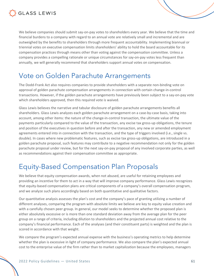

We believe companies should submit say-on-pay votes to shareholders every year. We believe that the time and financial burdens to a company with regard to an annual vote are relatively small and incremental and are outweighed by the benefits to shareholders through more frequent accountability. Implementing biannual or triennial votes on executive compensation limits shareholders' ability to hold the board accountable for its compensation practices through means other than voting against the compensation committee. Unless a company provides a compelling rationale or unique circumstances for say-on-pay votes less frequent than annually, we will generally recommend that shareholders support annual votes on compensation.

### Vote on Golden Parachute Arrangements

The Dodd-Frank Act also requires companies to provide shareholders with a separate non-binding vote on approval of golden parachute compensation arrangements in connection with certain change-in-control transactions. However, if the golden parachute arrangements have previously been subject to a say-on-pay vote which shareholders approved, then this required vote is waived.

Glass Lewis believes the narrative and tabular disclosure of golden parachute arrangements benefits all shareholders. Glass Lewis analyzes each golden parachute arrangement on a case-by-case basis, taking into account, among other items: the nature of the change-in-control transaction, the ultimate value of the payments particularly compared to the value of the transaction, any excise tax gross-up obligations, the tenure and position of the executives in question before and after the transaction, any new or amended employment agreements entered into in connection with the transaction, and the type of triggers involved (i.e., single vs. double). In cases where new problematic features, such as excise tax gross-up obligations, are introduced in a golden parachute proposal, such features may contribute to a negative recommendation not only for the golden parachute proposal under review, but for the next say-on-pay proposal of any involved corporate parties, as well as recommendations against their compensation committee as appropriate.

### Equity-Based Compensation Plan Proposals

We believe that equity compensation awards, when not abused, are useful for retaining employees and providing an incentive for them to act in a way that will improve company performance. Glass Lewis recognizes that equity-based compensation plans are critical components of a company's overall compensation program, and we analyze such plans accordingly based on both quantitative and qualitative factors.

Our quantitative analysis assesses the plan's cost and the company's pace of granting utilizing a number of different analyses, comparing the program with absolute limits we believe are key to equity value creation and with a carefully chosen peer group. In general, our model seeks to determine whether the proposed plan is either absolutely excessive or is more than one standard deviation away from the average plan for the peer group on a range of criteria, including dilution to shareholders and the projected annual cost relative to the company's financial performance. Each of the analyses (and their constituent parts) is weighted and the plan is scored in accordance with that weight.

We compare the program's expected annual expense with the business's operating metrics to help determine whether the plan is excessive in light of company performance. We also compare the plan's expected annual cost to the enterprise value of the firm rather than to market capitalization because the employees, managers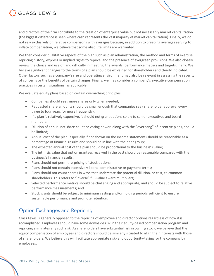

and directors of the firm contribute to the creation of enterprise value but not necessarily market capitalization (the biggest difference is seen where cash represents the vast majority of market capitalization). Finally, we do not rely exclusively on relative comparisons with averages because, in addition to creeping averages serving to inflate compensation, we believe that some absolute limits are warranted.

We then consider qualitative aspects of the plan such as plan administration, the method and terms of exercise, repricing history, express or implied rights to reprice, and the presence of evergreen provisions. We also closely review the choice and use of, and difficulty in meeting, the awards' performance metrics and targets, if any. We believe significant changes to the terms of a plan should be explained for shareholders and clearly indicated. Other factors such as a company's size and operating environment may also be relevant in assessing the severity of concerns or the benefits of certain changes. Finally, we may consider a company's executive compensation practices in certain situations, as applicable.

We evaluate equity plans based on certain overarching principles:

- Companies should seek more shares only when needed;
- Requested share amounts should be small enough that companies seek shareholder approval every three to four years (or more frequently);
- If a plan is relatively expensive, it should not grant options solely to senior executives and board members;
- Dilution of annual net share count or voting power, along with the "overhang" of incentive plans, should be limited;
- Annual cost of the plan (especially if not shown on the income statement) should be reasonable as a percentage of financial results and should be in line with the peer group;
- The expected annual cost of the plan should be proportional to the business's value;
- The intrinsic value that option grantees received in the past should be reasonable compared with the business's financial results;
- Plans should not permit re-pricing of stock options;
- Plans should not contain excessively liberal administrative or payment terms;
- Plans should not count shares in ways that understate the potential dilution, or cost, to common shareholders. This refers to "inverse" full-value award multipliers;
- Selected performance metrics should be challenging and appropriate, and should be subject to relative performance measurements; and
- Stock grants should be subject to minimum vesting and/or holding periods sufficient to ensure sustainable performance and promote retention.

#### Option Exchanges and Repricing

Glass Lewis is generally opposed to the repricing of employee and director options regardless of how it is accomplished. Employees should have some downside risk in their equity-based compensation program and repricing eliminates any such risk. As shareholders have substantial risk in owning stock, we believe that the equity compensation of employees and directors should be similarly situated to align their interests with those of shareholders. We believe this will facilitate appropriate risk- and opportunity-taking for the company by employees.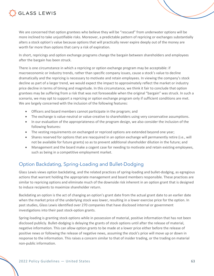

We are concerned that option grantees who believe they will be "rescued" from underwater options will be more inclined to take unjustifiable risks. Moreover, a predictable pattern of repricing or exchanges substantially alters a stock option's value because options that will practically never expire deeply out of the money are worth far more than options that carry a risk of expiration.

In short, repricings and option exchange programs change the bargain between shareholders and employees after the bargain has been struck.

There is one circumstance in which a repricing or option exchange program may be acceptable: if macroeconomic or industry trends, rather than specific company issues, cause a stock's value to decline dramatically and the repricing is necessary to motivate and retain employees. In viewing the company's stock decline as part of a larger trend, we would expect the impact to approximately reflect the market or industry price decline in terms of timing and magnitude. In this circumstance, we think it fair to conclude that option grantees may be suffering from a risk that was not foreseeable when the original "bargain" was struck. In such a scenario, we may opt to support a repricing or option exchange program only if sufficient conditions are met. We are largely concerned with the inclusion of the following features:

- Officers and board members cannot participate in the program; and
- The exchange is value-neutral or value-creative to shareholders using very conservative assumptions.
- In our evaluation of the appropriateness of the program design, we also consider the inclusion of the following features:
- The vesting requirements on exchanged or repriced options are extended beyond one year;
- Shares reserved for options that are reacquired in an option exchange will permanently retire (i.e., will not be available for future grants) so as to prevent additional shareholder dilution in the future; and
- Management and the board make a cogent case for needing to motivate and retain existing employees, such as being in a competitive employment market.

#### Option Backdating, Spring-Loading and Bullet-Dodging

Glass Lewis views option backdating, and the related practices of spring-loading and bullet-dodging, as egregious actions that warrant holding the appropriate management and board members responsible. These practices are similar to repricing options and eliminate much of the downside risk inherent in an option grant that is designed to induce recipients to maximize shareholder return.

Backdating an option is the act of changing an option's grant date from the actual grant date to an earlier date when the market price of the underlying stock was lower, resulting in a lower exercise price for the option. In past studies, Glass Lewis identified over 270 companies that have disclosed internal or government investigations into their past stock-option grants.

Spring-loading is granting stock options while in possession of material, positive information that has not been disclosed publicly. Bullet-dodging is delaying the grants of stock options until after the release of material, negative information. This can allow option grants to be made at a lower price either before the release of positive news or following the release of negative news, assuming the stock's price will move up or down in response to the information. This raises a concern similar to that of insider trading, or the trading on material non-public information.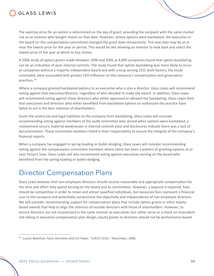

The exercise price for an option is determined on the day of grant, providing the recipient with the same market risk as an investor who bought shares on that date. However, where options were backdated, the executive or the board (or the compensation committee) changed the grant date retroactively. The new date may be at or near the lowest price for the year or period. This would be like allowing an investor to look back and select the lowest price of the year at which to buy shares.

A 2006 study of option grants made between 1996 and 2005 at 8,000 companies found that option backdating can be an indication of poor internal controls. The study found that option backdating was more likely to occur at companies without a majority independent board and with a long-serving CEO; both factors, the study concluded, were associated with greater CEO influence on the company's compensation and governance practices.<sup>42</sup>

Where a company granted backdated options to an executive who is also a director, Glass Lewis will recommend voting against that executive/director, regardless of who decided to make the award. In addition, Glass Lewis will recommend voting against those directors who either approved or allowed the backdating. Glass Lewis feels that executives and directors who either benefited from backdated options or authorized the practice have failed to act in the best interests of shareholders.

Given the severe tax and legal liabilities to the company from backdating, Glass Lewis will consider recommending voting against members of the audit committee who served when options were backdated, a restatement occurs, material weaknesses in internal controls exist and disclosures indicate there was a lack of documentation. These committee members failed in their responsibility to ensure the integrity of the company's financial reports.

When a company has engaged in spring-loading or bullet-dodging, Glass Lewis will consider recommending voting against the compensation committee members where there has been a pattern of granting options at or near historic lows. Glass Lewis will also recommend voting against executives serving on the board who benefited from the spring-loading or bullet-dodging.

### Director Compensation Plans

Glass Lewis believes that non-employee directors should receive reasonable and appropriate compensation for the time and effort they spend serving on the board and its committees. However, a balance is required. Fees should be competitive in order to retain and attract qualified individuals, but excessive fees represent a financial cost to the company and potentially compromise the objectivity and independence of non-employee directors. We will consider recommending support for compensation plans that include option grants or other equitybased awards that help to align the interests of outside directors with those of shareholders. However, to ensure directors are not incentivized in the same manner as executives but rather serve as a check on imprudent risk-taking in executive compensation plan design, equity grants to directors should not be performance-based.

<sup>42</sup> Lucian Bebchuk, Yaniv Grinstein and Urs Peyer. "LUCKY CEOs." November, 2006.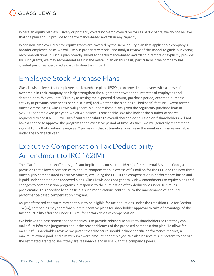

Where an equity plan exclusively or primarily covers non-employee directors as participants, we do not believe that the plan should provide for performance-based awards in any capacity.

When non-employee director equity grants are covered by the same equity plan that applies to a company's broader employee base, we will use our proprietary model and analyst review of this model to guide our voting recommendations. If such a plan broadly allows for performance-based awards to directors or explicitly provides for such grants, we may recommend against the overall plan on this basis, particularly if the company has granted performance-based awards to directors in past.

### Employee Stock Purchase Plans

Glass Lewis believes that employee stock purchase plans (ESPPs) can provide employees with a sense of ownership in their company and help strengthen the alignment between the interests of employees and shareholders. We evaluate ESPPs by assessing the expected discount, purchase period, expected purchase activity (if previous activity has been disclosed) and whether the plan has a "lookback" feature. Except for the most extreme cases, Glass Lewis will generally support these plans given the regulatory purchase limit of \$25,000 per employee per year, which we believe is reasonable. We also look at the number of shares requested to see if a ESPP will significantly contribute to overall shareholder dilution or if shareholders will not have a chance to approve the program for an excessive period of time. As such, we will generally recommend against ESPPs that contain "evergreen" provisions that automatically increase the number of shares available under the ESPP each year.

### Executive Compensation Tax Deductibility — Amendment to IRC 162(M)

The "Tax Cut and Jobs Act" had significant implications on Section 162(m) of the Internal Revenue Code, a provision that allowed companies to deduct compensation in excess of \$1 million for the CEO and the next three most highly compensated executive officers, excluding the CFO, if the compensation is performance-based and is paid under shareholder-approved plans. Glass Lewis does not generally view amendments to equity plans and changes to compensation programs in response to the elimination of tax deductions under 162(m) as problematic. This specifically holds true if such modifications contribute to the maintenance of a sound performance-based compensation program.

As grandfathered contracts may continue to be eligible for tax deductions under the transition rule for Section 162(m), companies may therefore submit incentive plans for shareholder approval to take of advantage of the tax deductibility afforded under 162(m) for certain types of compensation.

We believe the best practice for companies is to provide robust disclosure to shareholders so that they can make fully informed judgments about the reasonableness of the proposed compensation plan. To allow for meaningful shareholder review, we prefer that disclosure should include specific performance metrics, a maximum award pool, and a maximum award amount per employee. We also believe it is important to analyze the estimated grants to see if they are reasonable and in line with the company's peers.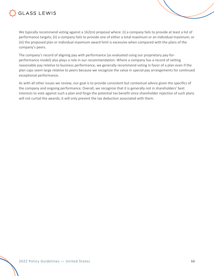

We typically recommend voting against a 162(m) proposal where: (i) a company fails to provide at least a list of performance targets; (ii) a company fails to provide one of either a total maximum or an individual maximum; or (iii) the proposed plan or individual maximum award limit is excessive when compared with the plans of the company's peers.

The company's record of aligning pay with performance (as evaluated using our proprietary pay-forperformance model) also plays a role in our recommendation. Where a company has a record of setting reasonable pay relative to business performance, we generally recommend voting in favor of a plan even if the plan caps seem large relative to peers because we recognize the value in special pay arrangements for continued exceptional performance.

As with all other issues we review, our goal is to provide consistent but contextual advice given the specifics of the company and ongoing performance. Overall, we recognize that it is generally not in shareholders' best interests to vote against such a plan and forgo the potential tax benefit since shareholder rejection of such plans will not curtail the awards; it will only prevent the tax deduction associated with them.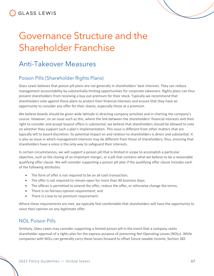

# Governance Structure and the Shareholder Franchise

### Anti-Takeover Measures

#### Poison Pills (Shareholder Rights Plans)

Glass Lewis believes that poison pill plans are not generally in shareholders' best interests. They can reduce management accountability by substantially limiting opportunities for corporate takeovers. Rights plans can thus prevent shareholders from receiving a buy-out premium for their stock. Typically we recommend that shareholders vote against these plans to protect their financial interests and ensure that they have an opportunity to consider any offer for their shares, especially those at a premium.

We believe boards should be given wide latitude in directing company activities and in charting the company's course. However, on an issue such as this, where the link between the shareholders' financial interests and their right to consider and accept buyout offers is substantial, we believe that shareholders should be allowed to vote on whether they support such a plan's implementation. This issue is different from other matters that are typically left to board discretion. Its potential impact on and relation to shareholders is direct and substantial. It is also an issue in which management interests may be different from those of shareholders; thus, ensuring that shareholders have a voice is the only way to safeguard their interests.

In certain circumstances, we will support a poison pill that is limited in scope to accomplish a particular objective, such as the closing of an important merger, or a pill that contains what we believe to be a reasonable qualifying offer clause. We will consider supporting a poison pill plan if the qualifying offer clause includes each of the following attributes:

- The form of offer is not required to be an all-cash transaction;
- The offer is not required to remain open for more than 90 business days;
- The offeror is permitted to amend the offer, reduce the offer, or otherwise change the terms;
- There is no fairness opinion requirement; and
- There is a low to no premium requirement.

Where these requirements are met, we typically feel comfortable that shareholders will have the opportunity to voice their opinion on any legitimate offer.

#### NOL Poison Pills

Similarly, Glass Lewis may consider supporting a limited poison pill in the event that a company seeks shareholder approval of a rights plan for the express purpose of preserving Net Operating Losses (NOLs). While companies with NOLs can generally carry these losses forward to offset future taxable income, Section 382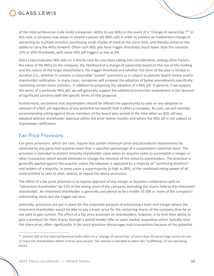

of the Internal Revenue Code limits companies' ability to use NOLs in the event of a "change of ownership."<sup>43</sup> In this case, a company may adopt or amend a poison pill (NOL pill) in order to prevent an inadvertent change of ownership by multiple investors purchasing small chunks of stock at the same time, and thereby preserve the ability to carry the NOLs forward. Often such NOL pills have trigger thresholds much lower than the common 15% or 20% thresholds, with some NOL pill triggers as low as 5%.

Glass Lewis evaluates NOL pills on a strictly case-by-case basis taking into consideration, among other factors, the value of the NOLs to the company, the likelihood of a change of ownership based on the size of the holding and the nature of the larger shareholders, the trigger threshold and whether the term of the plan is limited in duration (i.e., whether it contains a reasonable "sunset" provision) or is subject to periodic board review and/or shareholder ratification. In many cases, companies will propose the adoption of bylaw amendments specifically restricting certain share transfers, in addition to proposing the adoption of a NOL pill. In general, if we support the terms of a particular NOL pill, we will generally support the additional protective amendment in the absence of significant concerns with the specific terms of that proposal.

Furthermore, we believe that shareholders should be offered the opportunity to vote on any adoption or renewal of a NOL pill regardless of any potential tax benefit that it offers a company. As such, we will consider recommending voting against those members of the board who served at the time when an NOL pill was adopted without shareholder approval within the prior twelve months and where the NOL pill is not subject to shareholder ratification.

#### Fair Price Provisions

Fair price provisions, which are rare, require that certain minimum price and procedural requirements be observed by any party that acquires more than a specified percentage of a corporation's common stock. The provision is intended to protect minority shareholder value when an acquirer seeks to accomplish a merger or other transaction which would eliminate or change the interests of the minority shareholders. The provision is generally applied against the acquirer unless the takeover is approved by a majority of "continuing directors" and holders of a majority, in some cases a supermajority as high as 80%, of the combined voting power of all stock entitled to vote to alter, amend, or repeal the above provisions.

The effect of a fair price provision is to require approval of any merger or business combination with an "interested shareholder" by 51% of the voting stock of the company, excluding the shares held by the interested shareholder. An interested shareholder is generally considered to be a holder of 10% or more of the company's outstanding stock, but the trigger can vary.

Generally, provisions are put in place for the ostensible purpose of preventing a back-end merger where the interested shareholder would be able to pay a lower price for the remaining shares of the company than he or she paid to gain control. The effect of a fair price provision on shareholders, however, is to limit their ability to gain a premium for their shares through a partial tender offer or open market acquisition which typically raise the share price, often significantly. A fair price provision discourages such transactions because of the potential

<sup>&</sup>lt;sup>43</sup> Section 382 of the Internal Revenue Code refers to a "change of ownership" of more than 50 percentage points by one or more 5% shareholders within a three-year period. The statute is intended to deter the "trafficking" of net operating losses.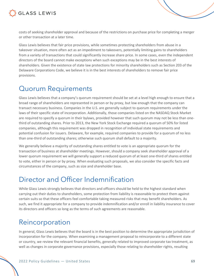

costs of seeking shareholder approval and because of the restrictions on purchase price for completing a merger or other transaction at a later time.

Glass Lewis believes that fair price provisions, while sometimes protecting shareholders from abuse in a takeover situation, more often act as an impediment to takeovers, potentially limiting gains to shareholders from a variety of transactions that could significantly increase share price. In some cases, even the independent directors of the board cannot make exceptions when such exceptions may be in the best interests of shareholders. Given the existence of state law protections for minority shareholders such as Section 203 of the Delaware Corporations Code, we believe it is in the best interests of shareholders to remove fair price provisions.

### Quorum Requirements

Glass Lewis believes that a company's quorum requirement should be set at a level high enough to ensure that a broad range of shareholders are represented in person or by proxy, but low enough that the company can transact necessary business. Companies in the U.S. are generally subject to quorum requirements under the laws of their specific state of incorporation. Additionally, those companies listed on the NASDAQ Stock Market are required to specify a quorum in their bylaws, provided however that such quorum may not be less than onethird of outstanding shares. Prior to 2013, the New York Stock Exchange required a quorum of 50% for listed companies, although this requirement was dropped in recognition of individual state requirements and potential confusion for issuers. Delaware, for example, required companies to provide for a quorum of no less than one-third of outstanding shares; otherwise such quorum shall default to a majority.

We generally believe a majority of outstanding shares entitled to vote is an appropriate quorum for the transaction of business at shareholder meetings. However, should a company seek shareholder approval of a lower quorum requirement we will generally support a reduced quorum of at least one-third of shares entitled to vote, either in person or by proxy. When evaluating such proposals, we also consider the specific facts and circumstances of the company, such as size and shareholder base.

### Director and Officer Indemnification

While Glass Lewis strongly believes that directors and officers should be held to the highest standard when carrying out their duties to shareholders, some protection from liability is reasonable to protect them against certain suits so that these officers feel comfortable taking measured risks that may benefit shareholders. As such, we find it appropriate for a company to provide indemnification and/or enroll in liability insurance to cover its directors and officers so long as the terms of such agreements are reasonable.

### Reincorporation

In general, Glass Lewis believes that the board is in the best position to determine the appropriate jurisdiction of incorporation for the company. When examining a management proposal to reincorporate to a different state or country, we review the relevant financial benefits, generally related to improved corporate tax treatment, as well as changes in corporate governance provisions, especially those relating to shareholder rights, resulting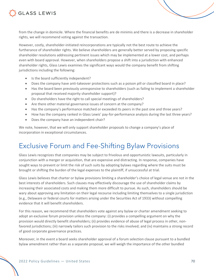

from the change in domicile. Where the financial benefits are de minimis and there is a decrease in shareholder rights, we will recommend voting against the transaction.

However, costly, shareholder-initiated reincorporations are typically not the best route to achieve the furtherance of shareholder rights. We believe shareholders are generally better served by proposing specific shareholder resolutions addressing pertinent issues which may be implemented at a lower cost, and perhaps even with board approval. However, when shareholders propose a shift into a jurisdiction with enhanced shareholder rights, Glass Lewis examines the significant ways would the company benefit from shifting jurisdictions including the following:

- Is the board sufficiently independent?
- Does the company have anti-takeover protections such as a poison pill or classified board in place?
- Has the board been previously unresponsive to shareholders (such as failing to implement a shareholder proposal that received majority shareholder support)?
- Do shareholders have the right to call special meetings of shareholders?
- Are there other material governance issues of concern at the company?
- Has the company's performance matched or exceeded its peers in the past one and three years?
- How has the company ranked in Glass Lewis' pay-for-performance analysis during the last three years?
- Does the company have an independent chair?

We note, however, that we will only support shareholder proposals to change a company's place of incorporation in exceptional circumstances.

### Exclusive Forum and Fee-Shifting Bylaw Provisions

Glass Lewis recognizes that companies may be subject to frivolous and opportunistic lawsuits, particularly in conjunction with a merger or acquisition, that are expensive and distracting. In response, companies have sought ways to prevent or limit the risk of such suits by adopting bylaws regarding where the suits must be brought or shifting the burden of the legal expenses to the plaintiff, if unsuccessful at trial.

Glass Lewis believes that charter or bylaw provisions limiting a shareholder's choice of legal venue are not in the best interests of shareholders. Such clauses may effectively discourage the use of shareholder claims by increasing their associated costs and making them more difficult to pursue. As such, shareholders should be wary about approving any limitation on their legal recourse including limiting themselves to a single jurisdiction (e.g., Delaware or federal courts for matters arising under the Securities Act of 1933) without compelling evidence that it will benefit shareholders.

For this reason, we recommend that shareholders vote against any bylaw or charter amendment seeking to adopt an exclusive forum provision unless the company: (i) provides a compelling argument on why the provision would directly benefit shareholders; (ii) provides evidence of abuse of legal process in other, nonfavored jurisdictions; (iii) narrowly tailors such provision to the risks involved; and (iv) maintains a strong record of good corporate governance practices.

Moreover, in the event a board seeks shareholder approval of a forum selection clause pursuant to a bundled bylaw amendment rather than as a separate proposal, we will weigh the importance of the other bundled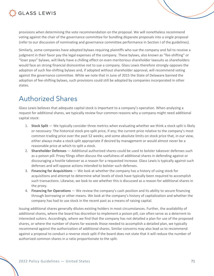

provisions when determining the vote recommendation on the proposal. We will nonetheless recommend voting against the chair of the governance committee for bundling disparate proposals into a single proposal (refer to our discussion of nominating and governance committee performance in Section I of the guidelines).

Similarly, some companies have adopted bylaws requiring plaintiffs who sue the company and fail to receive a judgment in their favor pay the legal expenses of the company. These bylaws, also known as "fee-shifting" or "loser pays" bylaws, will likely have a chilling effect on even meritorious shareholder lawsuits as shareholders would face an strong financial disincentive not to sue a company. Glass Lewis therefore strongly opposes the adoption of such fee-shifting bylaws and, if adopted without shareholder approval, will recommend voting against the governance committee. While we note that in June of 2015 the State of Delaware banned the adoption of fee-shifting bylaws, such provisions could still be adopted by companies incorporated in other states.

### Authorized Shares

Glass Lewis believes that adequate capital stock is important to a company's operation. When analyzing a request for additional shares, we typically review four common reasons why a company might need additional capital stock:

- 1. **Stock Split** We typically consider three metrics when evaluating whether we think a stock split is likely or necessary: The historical stock pre-split price, if any; the current price relative to the company's most common trading price over the past 52 weeks; and some absolute limits on stock price that, in our view, either always make a stock split appropriate if desired by management or would almost never be a reasonable price at which to split a stock.
- 2. **Shareholder Defenses** Additional authorized shares could be used to bolster takeover defenses such as a poison pill. Proxy filings often discuss the usefulness of additional shares in defending against or discouraging a hostile takeover as a reason for a requested increase. Glass Lewis is typically against such defenses and will oppose actions intended to bolster such defenses.
- 3. **Financing for Acquisitions** We look at whether the company has a history of using stock for acquisitions and attempt to determine what levels of stock have typically been required to accomplish such transactions. Likewise, we look to see whether this is discussed as a reason for additional shares in the proxy.
- 4. **Financing for Operations** We review the company's cash position and its ability to secure financing through borrowing or other means. We look at the company's history of capitalization and whether the company has had to use stock in the recent past as a means of raising capital.

Issuing additional shares generally dilutes existing holders in most circumstances. Further, the availability of additional shares, where the board has discretion to implement a poison pill, can often serve as a deterrent to interested suitors. Accordingly, where we find that the company has not detailed a plan for use of the proposed shares, or where the number of shares far exceeds those needed to accomplish a detailed plan, we typically recommend against the authorization of additional shares. Similar concerns may also lead us to recommend against a proposal to conduct a reverse stock split if the board does not state that it will reduce the number of authorized common shares in a ratio proportionate to the split.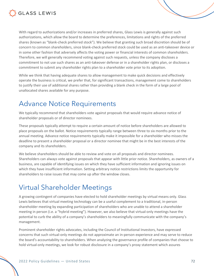

With regard to authorizations and/or increases in preferred shares, Glass Lewis is generally against such authorizations, which allow the board to determine the preferences, limitations and rights of the preferred shares (known as "blank-check preferred stock"). We believe that granting such broad discretion should be of concern to common shareholders, since blank-check preferred stock could be used as an anti-takeover device or in some other fashion that adversely affects the voting power or financial interests of common shareholders. Therefore, we will generally recommend voting against such requests, unless the company discloses a commitment to not use such shares as an anti-takeover defense or in a shareholder rights plan, or discloses a commitment to submit any shareholder rights plan to a shareholder vote prior to its adoption.

While we think that having adequate shares to allow management to make quick decisions and effectively operate the business is critical, we prefer that, for significant transactions, management come to shareholders to justify their use of additional shares rather than providing a blank check in the form of a large pool of unallocated shares available for any purpose.

### Advance Notice Requirements

We typically recommend that shareholders vote against proposals that would require advance notice of shareholder proposals or of director nominees.

These proposals typically attempt to require a certain amount of notice before shareholders are allowed to place proposals on the ballot. Notice requirements typically range between three to six months prior to the annual meeting. Advance notice requirements typically make it impossible for a shareholder who misses the deadline to present a shareholder proposal or a director nominee that might be in the best interests of the company and its shareholders.

We believe shareholders should be able to review and vote on all proposals and director nominees. Shareholders can always vote against proposals that appear with little prior notice. Shareholders, as owners of a business, are capable of identifying issues on which they have sufficient information and ignoring issues on which they have insufficient information. Setting arbitrary notice restrictions limits the opportunity for shareholders to raise issues that may come up after the window closes.

### Virtual Shareholder Meetings

A growing contingent of companies have elected to hold shareholder meetings by virtual means only. Glass Lewis believes that virtual meeting technology can be a useful complement to a traditional, in-person shareholder meeting by expanding participation of shareholders who are unable to attend a shareholder meeting in person (i.e. a "hybrid meeting"). However, we also believe that virtual-only meetings have the potential to curb the ability of a company's shareholders to meaningfully communicate with the company's management.

Prominent shareholder rights advocates, including the Council of Institutional Investors, have expressed concerns that such virtual-only meetings do not approximate an in-person experience and may serve to reduce the board's accountability to shareholders. When analyzing the governance profile of companies that choose to hold virtual-only meetings, we look for robust disclosure in a company's proxy statement which assures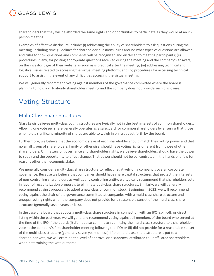

shareholders that they will be afforded the same rights and opportunities to participate as they would at an inperson meeting.

Examples of effective disclosure include: (i) addressing the ability of shareholders to ask questions during the meeting, including time guidelines for shareholder questions, rules around what types of questions are allowed, and rules for how questions and comments will be recognized and disclosed to meeting participants; (ii) procedures, if any, for posting appropriate questions received during the meeting and the company's answers, on the investor page of their website as soon as is practical after the meeting; (iii) addressing technical and logistical issues related to accessing the virtual meeting platform; and (iv) procedures for accessing technical support to assist in the event of any difficulties accessing the virtual meeting.

We will generally recommend voting against members of the governance committee where the board is planning to hold a virtual-only shareholder meeting and the company does not provide such disclosure.

## Voting Structure

### Multi-Class Share Structures

Glass Lewis believes multi-class voting structures are typically not in the best interests of common shareholders. Allowing one vote per share generally operates as a safeguard for common shareholders by ensuring that those who hold a significant minority of shares are able to weigh in on issues set forth by the board.

Furthermore, we believe that the economic stake of each shareholder should match their voting power and that no small group of shareholders, family or otherwise, should have voting rights different from those of other shareholders. On matters of governance and shareholder rights, we believe shareholders should have the power to speak and the opportunity to effect change. That power should not be concentrated in the hands of a few for reasons other than economic stake.

We generally consider a multi-class share structure to reflect negatively on a company's overall corporate governance. Because we believe that companies should have share capital structures that protect the interests of non-controlling shareholders as well as any controlling entity, we typically recommend that shareholders vote in favor of recapitalization proposals to eliminate dual-class share structures. Similarly, we will generally recommend against proposals to adopt a new class of common stock. Beginning in 2022, we will recommend voting against the chair of the governance committee at companies with a multi-class share structure and unequal voting rights when the company does not provide for a reasonable sunset of the multi-class share structure (generally seven years or less).

In the case of a board that adopts a multi-class share structure in connection with an IPO, spin-off, or direct listing within the past year, we will generally recommend voting against all members of the board who served at the time of the IPO if the board: (i) did not also commit to submitting the multi-class structure to a shareholder vote at the company's first shareholder meeting following the IPO; or (ii) did not provide for a reasonable sunset of the multi-class structure (generally seven years or less). If the multi-class share structure is put to a shareholder vote, we will examine the level of approval or disapproval attributed to unaffiliated shareholders when determining the vote outcome.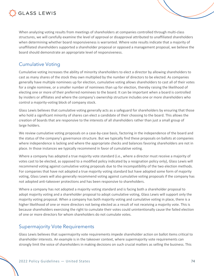

When analyzing voting results from meetings of shareholders at companies controlled through multi-class structures, we will carefully examine the level of approval or disapproval attributed to unaffiliated shareholders when determining whether board responsiveness is warranted. Where vote results indicate that a majority of unaffiliated shareholders supported a shareholder proposal or opposed a management proposal, we believe the board should demonstrate an appropriate level of responsiveness.

### Cumulative Voting

Cumulative voting increases the ability of minority shareholders to elect a director by allowing shareholders to cast as many shares of the stock they own multiplied by the number of directors to be elected. As companies generally have multiple nominees up for election, cumulative voting allows shareholders to cast all of their votes for a single nominee, or a smaller number of nominees than up for election, thereby raising the likelihood of electing one or more of their preferred nominees to the board. It can be important when a board is controlled by insiders or affiliates and where the company's ownership structure includes one or more shareholders who control a majority-voting block of company stock.

Glass Lewis believes that cumulative voting generally acts as a safeguard for shareholders by ensuring that those who hold a significant minority of shares can elect a candidate of their choosing to the board. This allows the creation of boards that are responsive to the interests of all shareholders rather than just a small group of large holders.

We review cumulative voting proposals on a case-by-case basis, factoring in the independence of the board and the status of the company's governance structure. But we typically find these proposals on ballots at companies where independence is lacking and where the appropriate checks and balances favoring shareholders are not in place. In those instances we typically recommend in favor of cumulative voting.

Where a company has adopted a true majority vote standard (i.e., where a director must receive a majority of votes cast to be elected, as opposed to a modified policy indicated by a resignation policy only), Glass Lewis will recommend voting against cumulative voting proposals due to the incompatibility of the two election methods. For companies that have not adopted a true majority voting standard but have adopted some form of majority voting, Glass Lewis will also generally recommend voting against cumulative voting proposals if the company has not adopted anti-takeover protections and has been responsive to shareholders.

Where a company has not adopted a majority voting standard and is facing both a shareholder proposal to adopt majority voting and a shareholder proposal to adopt cumulative voting, Glass Lewis will support only the majority voting proposal. When a company has both majority voting and cumulative voting in place, there is a higher likelihood of one or more directors not being elected as a result of not receiving a majority vote. This is because shareholders exercising the right to cumulate their votes could unintentionally cause the failed election of one or more directors for whom shareholders do not cumulate votes.

#### Supermajority Vote Requirements

Glass Lewis believes that supermajority vote requirements impede shareholder action on ballot items critical to shareholder interests. An example is in the takeover context, where supermajority vote requirements can strongly limit the voice of shareholders in making decisions on such crucial matters as selling the business. This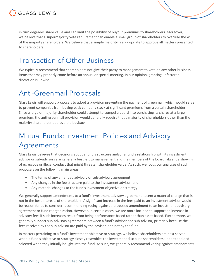

in turn degrades share value and can limit the possibility of buyout premiums to shareholders. Moreover, we believe that a supermajority vote requirement can enable a small group of shareholders to overrule the will of the majority shareholders. We believe that a simple majority is appropriate to approve all matters presented to shareholders.

## Transaction of Other Business

We typically recommend that shareholders not give their proxy to management to vote on any other business items that may properly come before an annual or special meeting. In our opinion, granting unfettered discretion is unwise.

## Anti-Greenmail Proposals

Glass Lewis will support proposals to adopt a provision preventing the payment of greenmail, which would serve to prevent companies from buying back company stock at significant premiums from a certain shareholder. Since a large or majority shareholder could attempt to compel a board into purchasing its shares at a large premium, the anti-greenmail provision would generally require that a majority of shareholders other than the majority shareholder approve the buyback.

## Mutual Funds: Investment Policies and Advisory Agreements

Glass Lewis believes that decisions about a fund's structure and/or a fund's relationship with its investment advisor or sub-advisors are generally best left to management and the members of the board, absent a showing of egregious or illegal conduct that might threaten shareholder value. As such, we focus our analyses of such proposals on the following main areas:

- The terms of any amended advisory or sub-advisory agreement;
- Any changes in the fee structure paid to the investment advisor; and
- Any material changes to the fund's investment objective or strategy.

We generally support amendments to a fund's investment advisory agreement absent a material change that is not in the best interests of shareholders. A significant increase in the fees paid to an investment advisor would be reason for us to consider recommending voting against a proposed amendment to an investment advisory agreement or fund reorganization. However, in certain cases, we are more inclined to support an increase in advisory fees if such increases result from being performance-based rather than asset-based. Furthermore, we generally support sub-advisory agreements between a fund's advisor and sub-advisor, primarily because the fees received by the sub-advisor are paid by the advisor, and not by the fund.

In matters pertaining to a fund's investment objective or strategy, we believe shareholders are best served when a fund's objective or strategy closely resembles the investment discipline shareholders understood and selected when they initially bought into the fund. As such, we generally recommend voting against amendments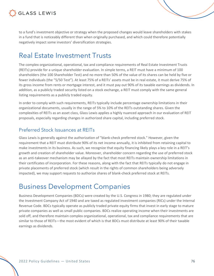

to a fund's investment objective or strategy when the proposed changes would leave shareholders with stakes in a fund that is noticeably different than when originally purchased, and which could therefore potentially negatively impact some investors' diversification strategies.

## Real Estate Investment Trusts

The complex organizational, operational, tax and compliance requirements of Real Estate Investment Trusts (REITs) provide for a unique shareholder evaluation. In simple terms, a REIT must have a minimum of 100 shareholders (the 100 Shareholder Test) and no more than 50% of the value of its shares can be held by five or fewer individuals (the "5/50 Test"). At least 75% of a REITs' assets must be in real estate, it must derive 75% of its gross income from rents or mortgage interest, and it must pay out 90% of its taxable earnings as dividends. In addition, as a publicly traded security listed on a stock exchange, a REIT must comply with the same general listing requirements as a publicly traded equity.

In order to comply with such requirements, REITs typically include percentage ownership limitations in their organizational documents, usually in the range of 5% to 10% of the REITs outstanding shares. Given the complexities of REITs as an asset class, Glass Lewis applies a highly nuanced approach in our evaluation of REIT proposals, especially regarding changes in authorized share capital, including preferred stock.

#### Preferred Stock Issuances at REITs

Glass Lewis is generally against the authorization of "blank-check preferred stock." However, given the requirement that a REIT must distribute 90% of its net income annually, it is inhibited from retaining capital to make investments in its business. As such, we recognize that equity financing likely plays a key role in a REIT's growth and creation of shareholder value. Moreover, shareholder concern regarding the use of preferred stock as an anti-takeover mechanism may be allayed by the fact that most REITs maintain ownership limitations in their certificates of incorporation. For these reasons, along with the fact that REITs typically do not engage in private placements of preferred stock (which result in the rights of common shareholders being adversely impacted), we may support requests to authorize shares of blank-check preferred stock at REITs.

## Business Development Companies

Business Development Companies (BDCs) were created by the U.S. Congress in 1980; they are regulated under the Investment Company Act of 1940 and are taxed as regulated investment companies (RICs) under the Internal Revenue Code. BDCs typically operate as publicly traded private equity firms that invest in early stage to mature private companies as well as small public companies. BDCs realize operating income when their investments are sold off, and therefore maintain complex organizational, operational, tax and compliance requirements that are similar to those of REITs—the most evident of which is that BDCs must distribute at least 90% of their taxable earnings as dividends.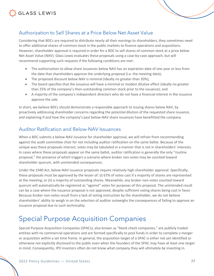



Considering that BDCs are required to distribute nearly all their earnings to shareholders, they sometimes need to offer additional shares of common stock in the public markets to finance operations and acquisitions. However, shareholder approval is required in order for a BDC to sell shares of common stock at a price below Net Asset Value (NAV). Glass Lewis evaluates these proposals using a case-by-case approach, but will recommend supporting such requests if the following conditions are met:

- The authorization to allow share issuances below NAV has an expiration date of one year or less from the date that shareholders approve the underlying proposal (i.e. the meeting date);
- The proposed discount below NAV is minimal (ideally no greater than 20%);
- The board specifies that the issuance will have a minimal or modest dilutive effect (ideally no greater than 25% of the company's then-outstanding common stock prior to the issuance); and
- A majority of the company's independent directors who do not have a financial interest in the issuance approve the sale.

In short, we believe BDCs should demonstrate a responsible approach to issuing shares below NAV, by proactively addressing shareholder concerns regarding the potential dilution of the requested share issuance, and explaining if and how the company's past below-NAV share issuances have benefitted the company.

#### Auditor Ratification and Below-NAV Issuances

When a BDC submits a below-NAV issuance for shareholder approval, we will refrain from recommending against the audit committee chair for not including auditor ratification on the same ballot. Because of the unique way these proposals interact, votes may be tabulated in a manner that is not in shareholders' interests. In cases where these proposals appear on the same ballot, auditor ratification is generally the only "routine proposal," the presence of which triggers a scenario where broker non-votes may be counted toward shareholder quorum, with unintended consequences.

Under the 1940 Act, below-NAV issuance proposals require relatively high shareholder approval. Specifically, these proposals must be approved by the lesser of: (i) 67% of votes cast if a majority of shares are represented at the meeting; or (ii) a majority of outstanding shares. Meanwhile, any broker non-votes counted toward quorum will automatically be registered as "against" votes for purposes of this proposal. The unintended result can be a case where the issuance proposal is not approved, despite sufficient voting shares being cast in favor. Because broker non-votes result from a lack of voting instruction by the shareholder, we do not believe shareholders' ability to weigh in on the selection of auditor outweighs the consequences of failing to approve an issuance proposal due to such technicality.

## Special Purpose Acquisition Companies

Special Purpose Acquisition Companies (SPACs), also known as "blank check companies," are publicly traded entities with no commercial operations and are formed specifically to pool funds in order to complete a merger or acquisition within a set time frame. In general, the acquisition target of a SPAC is either not yet identified or otherwise not explicitly disclosed to the public even when the founders of the SPAC may have at least one target in mind. Consequently, IPO investors often do not know what company they will ultimately be investing in.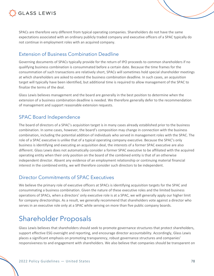

SPACs are therefore very different from typical operating companies. Shareholders do not have the same expectations associated with an ordinary publicly traded company and executive officers of a SPAC typically do not continue in employment roles with an acquired company.

#### Extension of Business Combination Deadline

Governing documents of SPACs typically provide for the return of IPO proceeds to common shareholders if no qualifying business combination is consummated before a certain date. Because the time frames for the consummation of such transactions are relatively short, SPACs will sometimes hold special shareholder meetings at which shareholders are asked to extend the business combination deadline. In such cases, an acquisition target will typically have been identified, but additional time is required to allow management of the SPAC to finalize the terms of the deal.

Glass Lewis believes management and the board are generally in the best position to determine when the extension of a business combination deadline is needed. We therefore generally defer to the recommendation of management and support reasonable extension requests.

#### SPAC Board Independence

The board of directors of a SPAC's acquisition target is in many cases already established prior to the business combination. In some cases, however, the board's composition may change in connection with the business combination, including the potential addition of individuals who served in management roles with the SPAC. The role of a SPAC executive is unlike that of a typical operating company executive. Because the SPAC's only business is identifying and executing an acquisition deal, the interests of a former SPAC executive are also different. Glass Lewis does not automatically consider a former SPAC executive to be affiliated with the acquired operating entity when their only position on the board of the combined entity is that of an otherwise independent director. Absent any evidence of an employment relationship or continuing material financial interest in the combined entity, we will therefore consider such directors to be independent.

#### Director Commitments of SPAC Executives

We believe the primary role of executive officers at SPACs is identifying acquisition targets for the SPAC and consummating a business combination. Given the nature of these executive roles and the limited business operations of SPACs, when a directors' only executive role is at a SPAC, we will generally apply our higher limit for company directorships. As a result, we generally recommend that shareholders vote against a director who serves in an executive role only at a SPAC while serving on more than five public company boards.

## Shareholder Proposals

Glass Lewis believes that shareholders should seek to promote governance structures that protect shareholders, support effective ESG oversight and reporting, and encourage director accountability. Accordingly, Glass Lewis places a significant emphasis on promoting transparency, robust governance structures and companies' responsiveness to and engagement with shareholders. We also believe that companies should be transparent on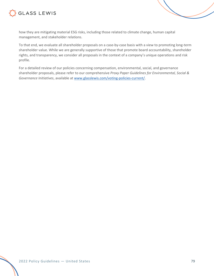



To that end, we evaluate all shareholder proposals on a case-by-case basis with a view to promoting long-term shareholder value. While we are generally supportive of those that promote board accountability, shareholder rights, and transparency, we consider all proposals in the context of a company's unique operations and risk profile.

For a detailed review of our policies concerning compensation, environmental, social, and governance shareholder proposals, please refer to our comprehensive *Proxy Paper Guidelines for Environmental, Social & Governance Initiatives*, available at www.glasslewis.com/voting-policies-current/.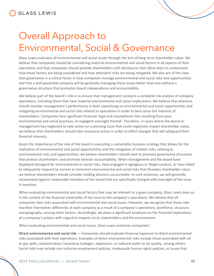# Overall Approach to Environmental, Social & Governance

Glass Lewis evaluates all environmental and social issues through the lens of long-term shareholder value. We believe that companies should be considering material environmental and social factors in all aspects of their operations and that companies should provide shareholders with disclosures that allow them to understand how these factors are being considered and how attendant risks are being mitigated. We also are of the view that governance is a critical factor in how companies manage environmental and social risks and opportunities and that a well-governed company will be generally managing these issues better than one without a governance structure that promotes board independence and accountability.

We believe part of the board's role is to ensure that management conducts a complete risk analysis of company operations, including those that have material environmental and social implications. We believe that directors should monitor management's performance in both capitalizing on environmental and social opportunities and mitigating environmental and social risks related to operations in order to best serve the interests of shareholders. Companies face significant financial, legal and reputational risks resulting from poor environmental and social practices, or negligent oversight thereof. Therefore, in cases where the board or management has neglected to take action on a pressing issue that could negatively impact shareholder value, we believe that shareholders should take necessary action in order to effect changes that will safeguard their financial interests.

Given the importance of the role of the board in executing a sustainable business strategy that allows for the realization of environmental and social opportunities and the mitigation of related risks, relating to environmental risks and opportunities, we believe shareholders should seek to promote governance structures that protect shareholders and promote director accountability. When management and the board have displayed disregard for environmental or social risks, have engaged in egregious or illegal conduct, or have failed to adequately respond to current or imminent environmental and social risks that threaten shareholder value, we believe shareholders should consider holding directors accountable. In such instances, we will generally recommend against responsible members of the board that are specifically charged with oversight of the issue in question.

When evaluating environmental and social factors that may be relevant to a given company, Glass Lewis does so in the context of the financial materiality of the issue to the company's operations. We believe that all companies face risks associated with environmental and social issues. However, we recognize that these risks manifest themselves differently at each company as a result of a company's operations, workforce, structure, and geography, among other factors. Accordingly, we place a significant emphasis on the financial implications of a company's actions with regard to impacts on its stakeholders and the environment.

When evaluating environmental and social issues, Glass Lewis examines companies':

**Direct environmental and social risk** — Companies should evaluate financial exposure to direct environmental risks associated with their operations. Examples of direct environmental risks include those associated with oil or gas spills, contamination, hazardous leakages, explosions, or reduced water or air quality, among others. Social risks may include non-inclusive employment policies, inadequate human rights policies, or issues that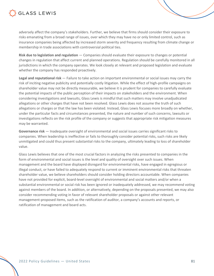

adversely affect the company's stakeholders. Further, we believe that firms should consider their exposure to risks emanating from a broad range of issues, over which they may have no or only limited control, such as insurance companies being affected by increased storm severity and frequency resulting from climate change or membership in trade associations with controversial political ties.

**Risk due to legislation and regulation** — Companies should evaluate their exposure to changes or potential changes in regulation that affect current and planned operations. Regulation should be carefully monitored in all jurisdictions in which the company operates. We look closely at relevant and proposed legislation and evaluate whether the company has responded proactively.

**Legal and reputational risk** — Failure to take action on important environmental or social issues may carry the risk of inciting negative publicity and potentially costly litigation. While the effect of high-profile campaigns on shareholder value may not be directly measurable, we believe it is prudent for companies to carefully evaluate the potential impacts of the public perception of their impacts on stakeholders and the environment. When considering investigations and lawsuits, Glass Lewis is mindful that such matters may involve unadjudicated allegations or other charges that have not been resolved. Glass Lewis does not assume the truth of such allegations or charges or that the law has been violated. Instead, Glass Lewis focuses more broadly on whether, under the particular facts and circumstances presented, the nature and number of such concerns, lawsuits or investigations reflects on the risk profile of the company or suggests that appropriate risk mitigation measures may be warranted.

**Governance risk** — Inadequate oversight of environmental and social issues carries significant risks to companies. When leadership is ineffective or fails to thoroughly consider potential risks, such risks are likely unmitigated and could thus present substantial risks to the company, ultimately leading to loss of shareholder value.

Glass Lewis believes that one of the most crucial factors in analyzing the risks presented to companies in the form of environmental and social issues is the level and quality of oversight over such issues. When management and the board have displayed disregard for environmental risks, have engaged in egregious or illegal conduct, or have failed to adequately respond to current or imminent environmental risks that threaten shareholder value, we believe shareholders should consider holding directors accountable. When companies have not provided for explicit, board-level oversight of environmental and social matters and/or when a substantial environmental or social risk has been ignored or inadequately addressed, we may recommend voting against members of the board. In addition, or alternatively, depending on the proposals presented, we may also consider recommending voting in favor of relevant shareholder proposals or against other relevant management-proposed items, such as the ratification of auditor, a company's accounts and reports, or ratification of management and board acts.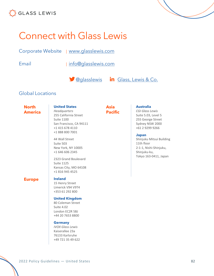



Email | info@glasslewis.com

**Company** Glass, Lewis & Co.

#### Global Locations

**North America** **United States** *Headquarters* 255 California Street Suite 1100 San Francisco, CA 94111

+1 415 678 4110 +1 888 800 7001

44 Wall Street Suite 503

New York, NY 10005 +1 646 606 2345

2323 Grand Boulevard

Kansas City, MO 64108 +1 816 945 4525

**Asia Pacific**

#### **Australia**

*CGI Glass Lewis* Suite 5.03, Level 5 255 George Street Sydney NSW 2000 +61 2 9299 9266

#### **Japan**

Shinjuku Mitsui Building 11th floor 2-1-1, Nishi-Shinjuku, Shinjuku-ku, Tokyo 163-0411, Japan

#### **Europe Ireland**

Suite 1125

15 Henry Street Limerick V94 V9T4 +353 61 292 800

#### **United Kingdom**

80 Coleman Street Suite 4.02 London EC2R 5BJ +44 20 7653 8800

#### **Germany**

*IVOX Glass Lewis* Kaiserallee 23a 76133 Karlsruhe +49 721 35 49 622

2022 Policy Guidelines — United States 82